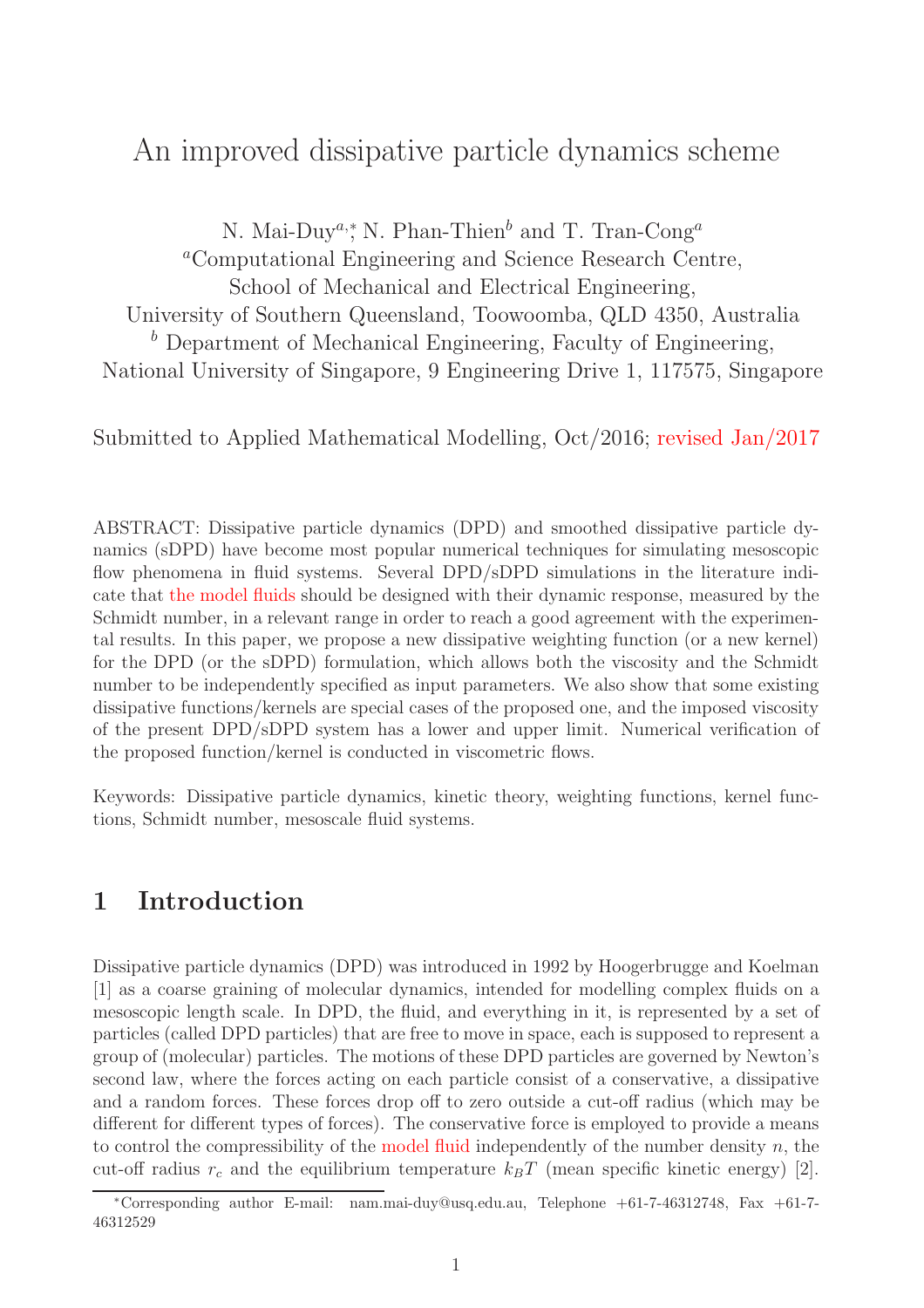# An improved dissipative particle dynamics scheme

N. Mai-Duy<sup>a,\*</sup>, N. Phan-Thien<sup>b</sup> and T. Tran-Cong<sup>a</sup> <sup>a</sup>Computational Engineering and Science Research Centre, School of Mechanical and Electrical Engineering, University of Southern Queensland, Toowoomba, QLD 4350, Australia  $<sup>b</sup>$  Department of Mechanical Engineering, Faculty of Engineering,</sup> National University of Singapore, 9 Engineering Drive 1, 117575, Singapore

Submitted to Applied Mathematical Modelling, Oct/2016; revised Jan/2017

ABSTRACT: Dissipative particle dynamics (DPD) and smoothed dissipative particle dynamics (sDPD) have become most popular numerical techniques for simulating mesoscopic flow phenomena in fluid systems. Several DPD/sDPD simulations in the literature indicate that the model fluids should be designed with their dynamic response, measured by the Schmidt number, in a relevant range in order to reach a good agreement with the experimental results. In this paper, we propose a new dissipative weighting function (or a new kernel) for the DPD (or the sDPD) formulation, which allows both the viscosity and the Schmidt number to be independently specified as input parameters. We also show that some existing dissipative functions/kernels are special cases of the proposed one, and the imposed viscosity of the present DPD/sDPD system has a lower and upper limit. Numerical verification of the proposed function/kernel is conducted in viscometric flows.

Keywords: Dissipative particle dynamics, kinetic theory, weighting functions, kernel functions, Schmidt number, mesoscale fluid systems.

## 1 Introduction

Dissipative particle dynamics (DPD) was introduced in 1992 by Hoogerbrugge and Koelman [1] as a coarse graining of molecular dynamics, intended for modelling complex fluids on a mesoscopic length scale. In DPD, the fluid, and everything in it, is represented by a set of particles (called DPD particles) that are free to move in space, each is supposed to represent a group of (molecular) particles. The motions of these DPD particles are governed by Newton's second law, where the forces acting on each particle consist of a conservative, a dissipative and a random forces. These forces drop off to zero outside a cut-off radius (which may be different for different types of forces). The conservative force is employed to provide a means to control the compressibility of the model fluid independently of the number density  $n$ , the cut-off radius  $r_c$  and the equilibrium temperature  $k_BT$  (mean specific kinetic energy) [2].

<sup>∗</sup>Corresponding author E-mail: nam.mai-duy@usq.edu.au, Telephone +61-7-46312748, Fax +61-7- 46312529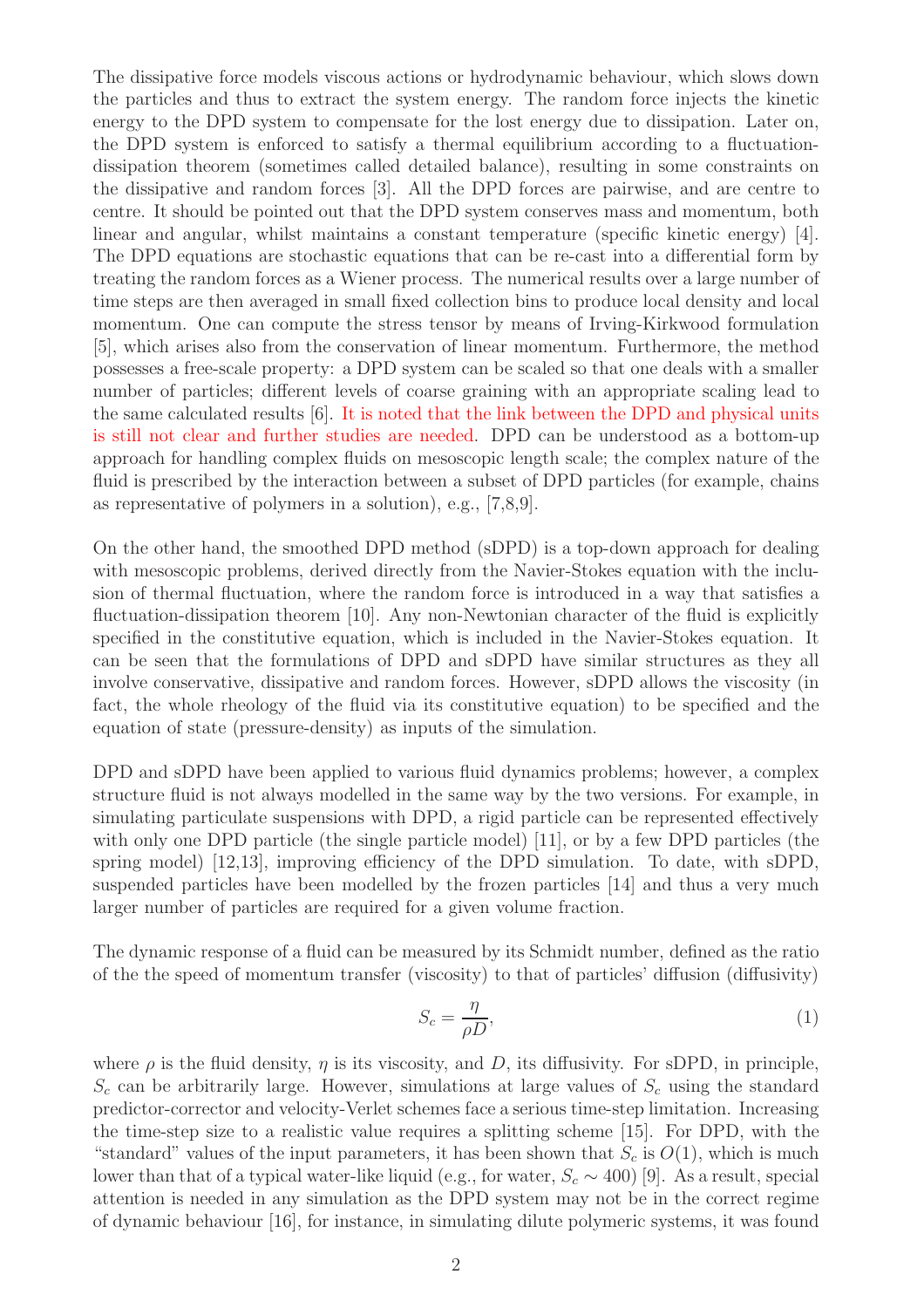The dissipative force models viscous actions or hydrodynamic behaviour, which slows down the particles and thus to extract the system energy. The random force injects the kinetic energy to the DPD system to compensate for the lost energy due to dissipation. Later on, the DPD system is enforced to satisfy a thermal equilibrium according to a fluctuationdissipation theorem (sometimes called detailed balance), resulting in some constraints on the dissipative and random forces [3]. All the DPD forces are pairwise, and are centre to centre. It should be pointed out that the DPD system conserves mass and momentum, both linear and angular, whilst maintains a constant temperature (specific kinetic energy) [4]. The DPD equations are stochastic equations that can be re-cast into a differential form by treating the random forces as a Wiener process. The numerical results over a large number of time steps are then averaged in small fixed collection bins to produce local density and local momentum. One can compute the stress tensor by means of Irving-Kirkwood formulation [5], which arises also from the conservation of linear momentum. Furthermore, the method possesses a free-scale property: a DPD system can be scaled so that one deals with a smaller number of particles; different levels of coarse graining with an appropriate scaling lead to the same calculated results [6]. It is noted that the link between the DPD and physical units is still not clear and further studies are needed. DPD can be understood as a bottom-up approach for handling complex fluids on mesoscopic length scale; the complex nature of the fluid is prescribed by the interaction between a subset of DPD particles (for example, chains as representative of polymers in a solution), e.g., [7,8,9].

On the other hand, the smoothed DPD method (sDPD) is a top-down approach for dealing with mesoscopic problems, derived directly from the Navier-Stokes equation with the inclusion of thermal fluctuation, where the random force is introduced in a way that satisfies a fluctuation-dissipation theorem [10]. Any non-Newtonian character of the fluid is explicitly specified in the constitutive equation, which is included in the Navier-Stokes equation. It can be seen that the formulations of DPD and sDPD have similar structures as they all involve conservative, dissipative and random forces. However, sDPD allows the viscosity (in fact, the whole rheology of the fluid via its constitutive equation) to be specified and the equation of state (pressure-density) as inputs of the simulation.

DPD and sDPD have been applied to various fluid dynamics problems; however, a complex structure fluid is not always modelled in the same way by the two versions. For example, in simulating particulate suspensions with DPD, a rigid particle can be represented effectively with only one DPD particle (the single particle model) [11], or by a few DPD particles (the spring model) [12,13], improving efficiency of the DPD simulation. To date, with sDPD, suspended particles have been modelled by the frozen particles [14] and thus a very much larger number of particles are required for a given volume fraction.

The dynamic response of a fluid can be measured by its Schmidt number, defined as the ratio of the the speed of momentum transfer (viscosity) to that of particles' diffusion (diffusivity)

$$
S_c = \frac{\eta}{\rho D},\tag{1}
$$

where  $\rho$  is the fluid density,  $\eta$  is its viscosity, and D, its diffusivity. For sDPD, in principle,  $S_c$  can be arbitrarily large. However, simulations at large values of  $S_c$  using the standard predictor-corrector and velocity-Verlet schemes face a serious time-step limitation. Increasing the time-step size to a realistic value requires a splitting scheme [15]. For DPD, with the "standard" values of the input parameters, it has been shown that  $S_c$  is  $O(1)$ , which is much lower than that of a typical water-like liquid (e.g., for water,  $S_c \sim 400$ ) [9]. As a result, special attention is needed in any simulation as the DPD system may not be in the correct regime of dynamic behaviour [16], for instance, in simulating dilute polymeric systems, it was found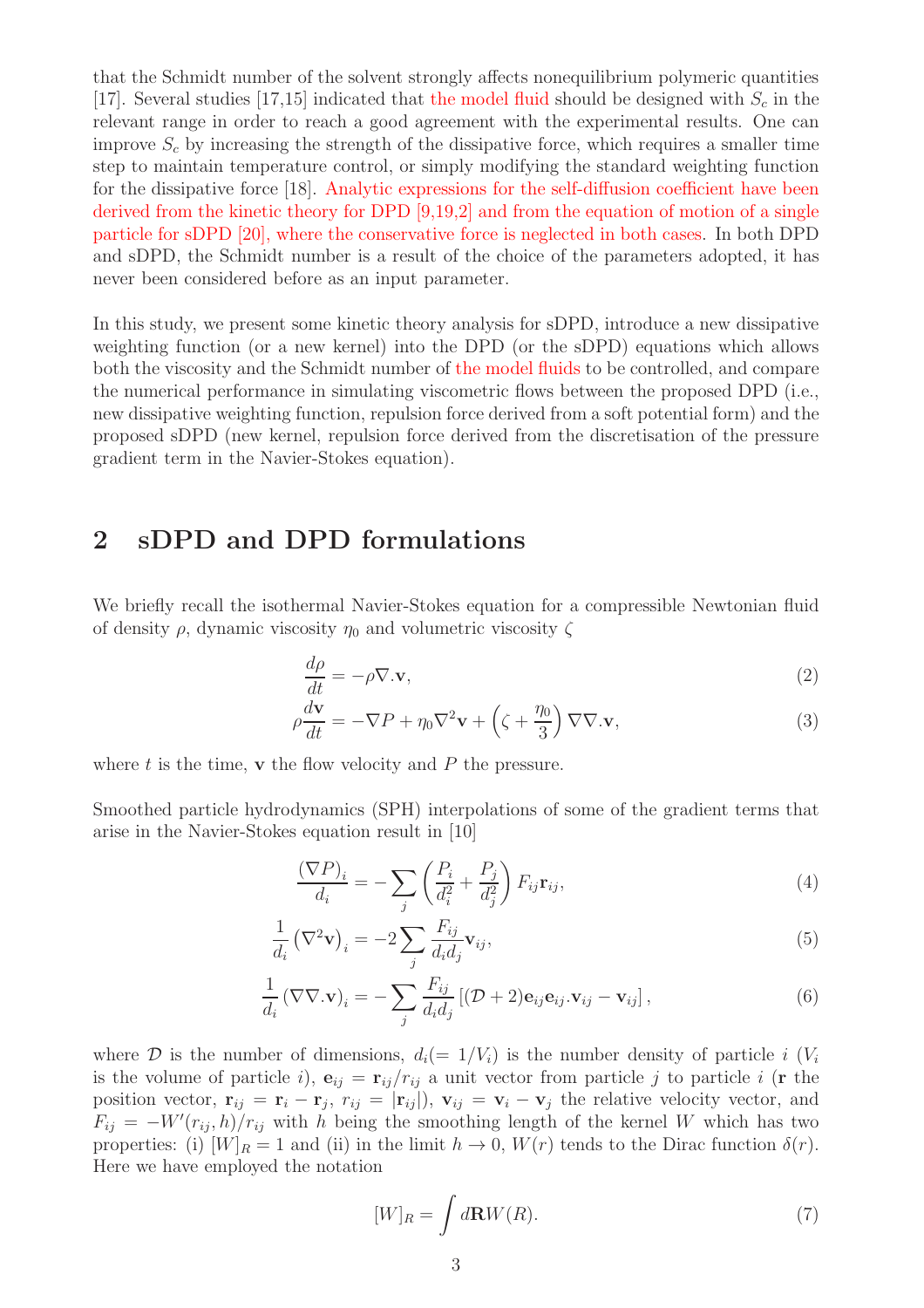that the Schmidt number of the solvent strongly affects nonequilibrium polymeric quantities [17]. Several studies [17,15] indicated that the model fluid should be designed with  $S_c$  in the relevant range in order to reach a good agreement with the experimental results. One can improve  $S_c$  by increasing the strength of the dissipative force, which requires a smaller time step to maintain temperature control, or simply modifying the standard weighting function for the dissipative force [18]. Analytic expressions for the self-diffusion coefficient have been derived from the kinetic theory for DPD [9,19,2] and from the equation of motion of a single particle for sDPD [20], where the conservative force is neglected in both cases. In both DPD and sDPD, the Schmidt number is a result of the choice of the parameters adopted, it has never been considered before as an input parameter.

In this study, we present some kinetic theory analysis for sDPD, introduce a new dissipative weighting function (or a new kernel) into the DPD (or the sDPD) equations which allows both the viscosity and the Schmidt number of the model fluids to be controlled, and compare the numerical performance in simulating viscometric flows between the proposed DPD (i.e., new dissipative weighting function, repulsion force derived from a soft potential form) and the proposed sDPD (new kernel, repulsion force derived from the discretisation of the pressure gradient term in the Navier-Stokes equation).

### 2 sDPD and DPD formulations

We briefly recall the isothermal Navier-Stokes equation for a compressible Newtonian fluid of density  $\rho$ , dynamic viscosity  $\eta_0$  and volumetric viscosity  $\zeta$ 

$$
\frac{d\rho}{dt} = -\rho \nabla \cdot \mathbf{v},\tag{2}
$$

$$
\rho \frac{d\mathbf{v}}{dt} = -\nabla P + \eta_0 \nabla^2 \mathbf{v} + \left(\zeta + \frac{\eta_0}{3}\right) \nabla \nabla \cdot \mathbf{v},\tag{3}
$$

where  $t$  is the time,  $\bf{v}$  the flow velocity and  $P$  the pressure.

Smoothed particle hydrodynamics (SPH) interpolations of some of the gradient terms that arise in the Navier-Stokes equation result in [10]

$$
\frac{(\nabla P)_i}{d_i} = -\sum_j \left(\frac{P_i}{d_i^2} + \frac{P_j}{d_j^2}\right) F_{ij} \mathbf{r}_{ij},\tag{4}
$$

$$
\frac{1}{d_i} (\nabla^2 \mathbf{v})_i = -2 \sum_j \frac{F_{ij}}{d_i d_j} \mathbf{v}_{ij},\tag{5}
$$

$$
\frac{1}{d_i} (\nabla \nabla . \mathbf{v})_i = -\sum_j \frac{F_{ij}}{d_i d_j} \left[ (\mathcal{D} + 2) \mathbf{e}_{ij} \mathbf{e}_{ij} . \mathbf{v}_{ij} - \mathbf{v}_{ij} \right],\tag{6}
$$

where D is the number of dimensions,  $d_i(=1/V_i)$  is the number density of particle i  $(V_i)$ is the volume of particle i),  $\mathbf{e}_{ij} = \mathbf{r}_{ij}/r_{ij}$  a unit vector from particle j to particle i (**r** the position vector,  $\mathbf{r}_{ij} = \mathbf{r}_i - \mathbf{r}_j$ ,  $r_{ij} = |\mathbf{r}_{ij}|$ ,  $\mathbf{v}_{ij} = \mathbf{v}_i - \mathbf{v}_j$  the relative velocity vector, and  $F_{ij} = -W'(r_{ij}, h)/r_{ij}$  with h being the smoothing length of the kernel W which has two properties: (i)  $|W|_R = 1$  and (ii) in the limit  $h \to 0$ ,  $W(r)$  tends to the Dirac function  $\delta(r)$ . Here we have employed the notation

$$
[W]_R = \int d\mathbf{R} W(R). \tag{7}
$$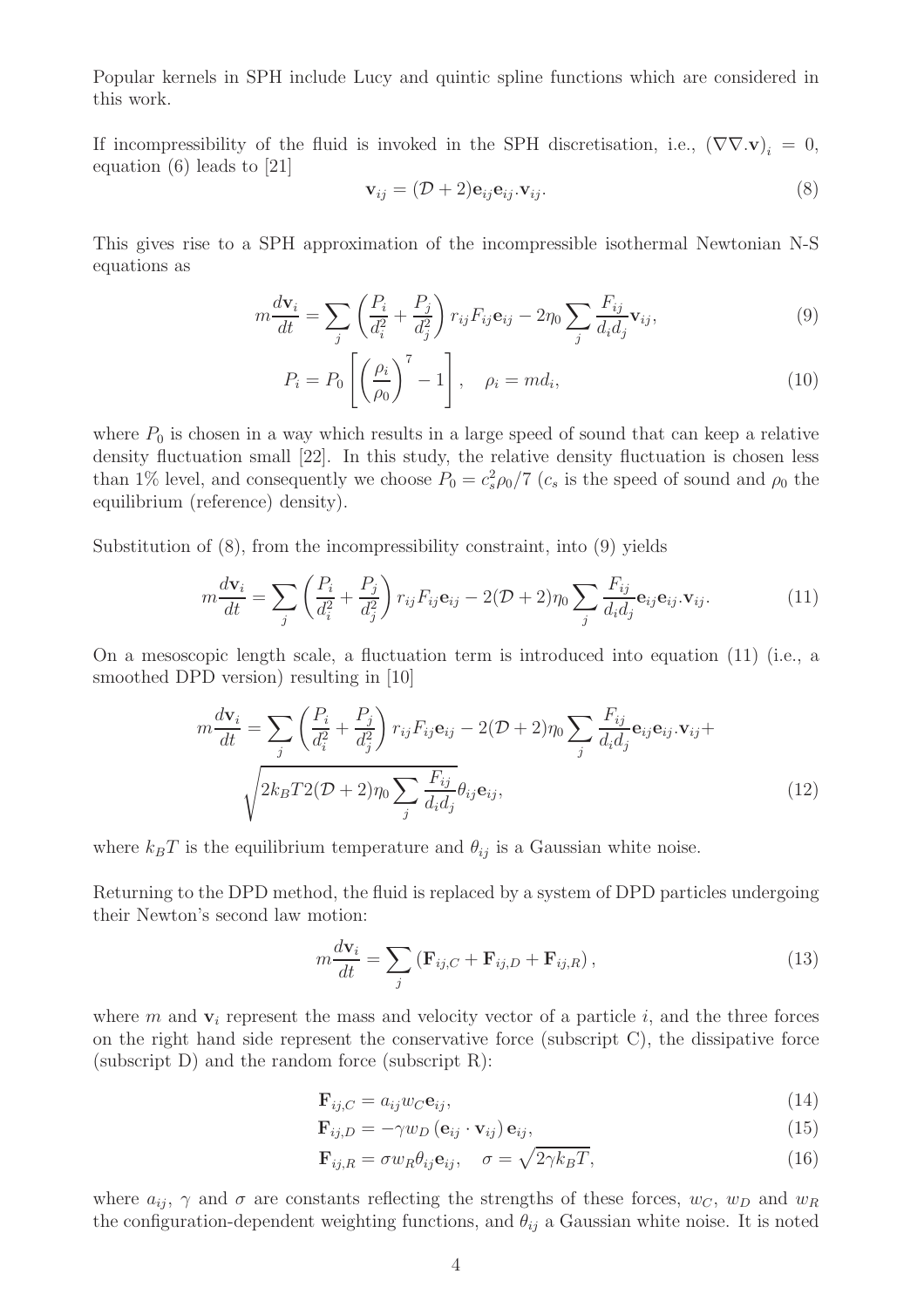Popular kernels in SPH include Lucy and quintic spline functions which are considered in this work.

If incompressibility of the fluid is invoked in the SPH discretisation, i.e.,  $(\nabla \nabla \cdot \mathbf{v})_i = 0$ , equation (6) leads to [21]

$$
\mathbf{v}_{ij} = (\mathcal{D} + 2)\mathbf{e}_{ij}\mathbf{e}_{ij}\mathbf{v}_{ij}.
$$
 (8)

This gives rise to a SPH approximation of the incompressible isothermal Newtonian N-S equations as

$$
m\frac{d\mathbf{v}_i}{dt} = \sum_j \left(\frac{P_i}{d_i^2} + \frac{P_j}{d_j^2}\right) r_{ij} F_{ij} \mathbf{e}_{ij} - 2\eta_0 \sum_j \frac{F_{ij}}{d_i d_j} \mathbf{v}_{ij},\tag{9}
$$

$$
P_i = P_0 \left[ \left( \frac{\rho_i}{\rho_0} \right)^7 - 1 \right], \quad \rho_i = m d_i,
$$
\n(10)

where  $P_0$  is chosen in a way which results in a large speed of sound that can keep a relative density fluctuation small [22]. In this study, the relative density fluctuation is chosen less than 1% level, and consequently we choose  $P_0 = c_s^2 \rho_0 / 7$  ( $c_s$  is the speed of sound and  $\rho_0$  the equilibrium (reference) density).

Substitution of (8), from the incompressibility constraint, into (9) yields

$$
m\frac{d\mathbf{v}_i}{dt} = \sum_j \left(\frac{P_i}{d_i^2} + \frac{P_j}{d_j^2}\right) r_{ij} F_{ij} \mathbf{e}_{ij} - 2(\mathcal{D} + 2)\eta_0 \sum_j \frac{F_{ij}}{d_i d_j} \mathbf{e}_{ij} \mathbf{e}_{ij} \cdot \mathbf{v}_{ij}.
$$
 (11)

On a mesoscopic length scale, a fluctuation term is introduced into equation (11) (i.e., a smoothed DPD version) resulting in [10]

$$
m\frac{d\mathbf{v}_i}{dt} = \sum_j \left(\frac{P_i}{d_i^2} + \frac{P_j}{d_j^2}\right) r_{ij} F_{ij} \mathbf{e}_{ij} - 2(\mathcal{D} + 2)\eta_0 \sum_j \frac{F_{ij}}{d_i d_j} \mathbf{e}_{ij} \mathbf{e}_{ij} \cdot \mathbf{v}_{ij} + \sqrt{2k_B T 2(\mathcal{D} + 2)\eta_0 \sum_j \frac{F_{ij}}{d_i d_j}} \theta_{ij} \mathbf{e}_{ij},
$$
\n(12)

where  $k_BT$  is the equilibrium temperature and  $\theta_{ij}$  is a Gaussian white noise.

Returning to the DPD method, the fluid is replaced by a system of DPD particles undergoing their Newton's second law motion:

$$
m\frac{d\mathbf{v}_{i}}{dt} = \sum_{j} \left( \mathbf{F}_{ij,C} + \mathbf{F}_{ij,D} + \mathbf{F}_{ij,R} \right), \qquad (13)
$$

where m and  $v_i$  represent the mass and velocity vector of a particle i, and the three forces on the right hand side represent the conservative force (subscript C), the dissipative force (subscript D) and the random force (subscript R):

$$
\mathbf{F}_{ij,C} = a_{ij} w_C \mathbf{e}_{ij},\tag{14}
$$

$$
\mathbf{F}_{ij,D} = -\gamma w_D \left(\mathbf{e}_{ij} \cdot \mathbf{v}_{ij}\right) \mathbf{e}_{ij},\tag{15}
$$

$$
\mathbf{F}_{ij,R} = \sigma w_R \theta_{ij} \mathbf{e}_{ij}, \quad \sigma = \sqrt{2\gamma k_B T}, \tag{16}
$$

where  $a_{ij}$ ,  $\gamma$  and  $\sigma$  are constants reflecting the strengths of these forces,  $w_C$ ,  $w_D$  and  $w_R$ the configuration-dependent weighting functions, and  $\theta_{ij}$  a Gaussian white noise. It is noted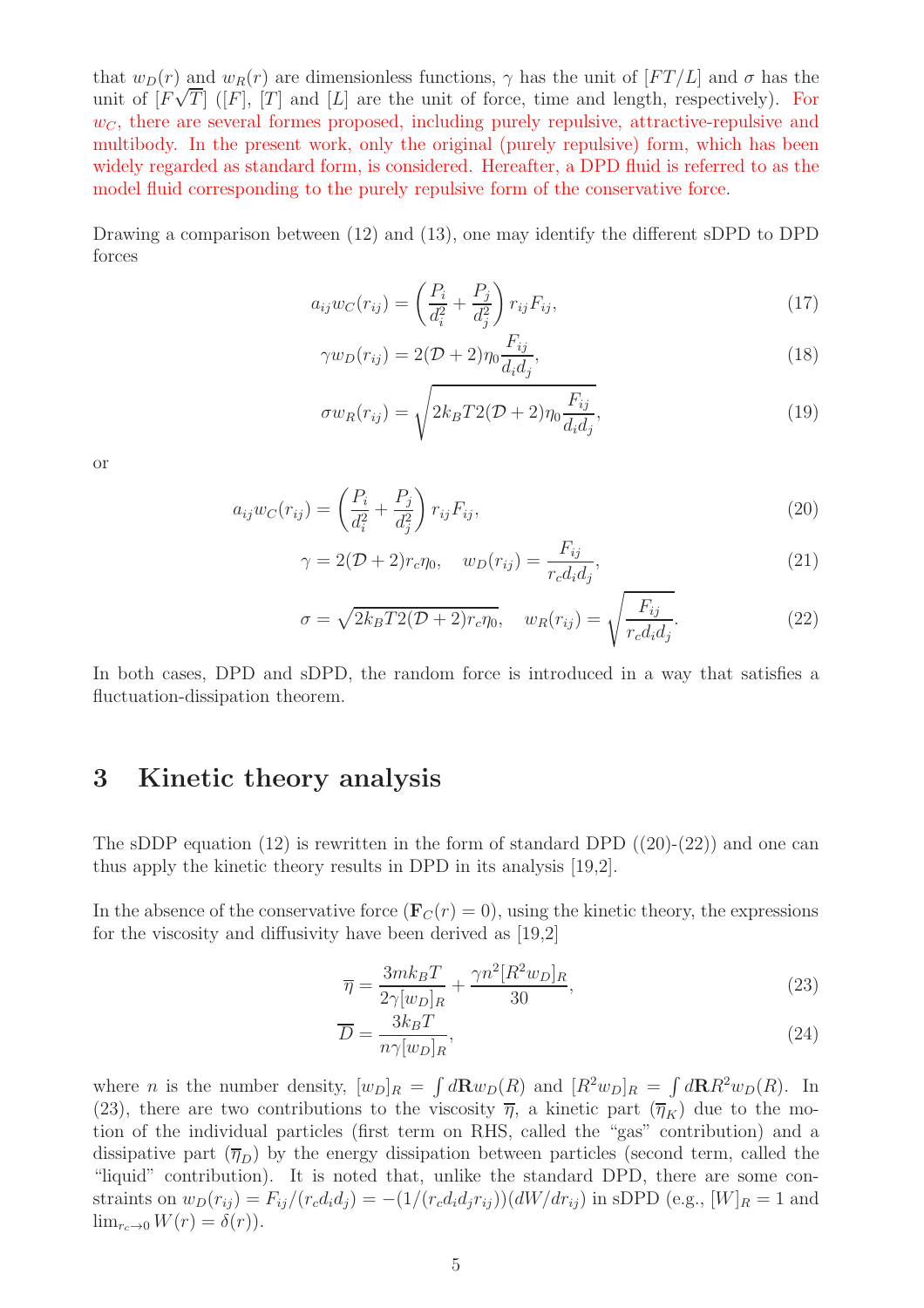that  $w_D(r)$  and  $w_R(r)$  are dimensionless functions,  $\gamma$  has the unit of  $[FT/L]$  and  $\sigma$  has the unit of  $[F\sqrt{T}]$  ( $[F]$ ,  $[T]$  and  $[L]$  are the unit of force, time and length, respectively). For  $w<sub>C</sub>$ , there are several formes proposed, including purely repulsive, attractive-repulsive and multibody. In the present work, only the original (purely repulsive) form, which has been widely regarded as standard form, is considered. Hereafter, a DPD fluid is referred to as the model fluid corresponding to the purely repulsive form of the conservative force.

Drawing a comparison between (12) and (13), one may identify the different sDPD to DPD forces

$$
a_{ij}w_C(r_{ij}) = \left(\frac{P_i}{d_i^2} + \frac{P_j}{d_j^2}\right) r_{ij} F_{ij},\tag{17}
$$

$$
\gamma w_D(r_{ij}) = 2(\mathcal{D} + 2)\eta_0 \frac{F_{ij}}{d_i d_j},\tag{18}
$$

$$
\sigma w_R(r_{ij}) = \sqrt{2k_B T 2(\mathcal{D} + 2)\eta_0 \frac{F_{ij}}{d_i d_j}},\tag{19}
$$

or

$$
a_{ij}w_C(r_{ij}) = \left(\frac{P_i}{d_i^2} + \frac{P_j}{d_j^2}\right) r_{ij} F_{ij},
$$
\n(20)

$$
\gamma = 2(\mathcal{D} + 2)r_c \eta_0, \quad w_D(r_{ij}) = \frac{F_{ij}}{r_c d_i d_j},\tag{21}
$$

$$
\sigma = \sqrt{2k_B T 2(\mathcal{D} + 2)r_c \eta_0}, \quad w_R(r_{ij}) = \sqrt{\frac{F_{ij}}{r_c d_i d_j}}.
$$
\n(22)

In both cases, DPD and sDPD, the random force is introduced in a way that satisfies a fluctuation-dissipation theorem.

### 3 Kinetic theory analysis

The sDDP equation (12) is rewritten in the form of standard DPD  $((20)-(22))$  and one can thus apply the kinetic theory results in DPD in its analysis [19,2].

In the absence of the conservative force  $(\mathbf{F}_C(r) = 0)$ , using the kinetic theory, the expressions for the viscosity and diffusivity have been derived as [19,2]

$$
\overline{\eta} = \frac{3mk_BT}{2\gamma[w_D]_R} + \frac{\gamma n^2 [R^2 w_D]_R}{30},\tag{23}
$$

$$
\overline{D} = \frac{3k_B T}{n\gamma [w_D]_R},\tag{24}
$$

where *n* is the number density,  $[w_D]_R = \int d\mathbf{R} w_D(R)$  and  $[R^2w_D]_R = \int d\mathbf{R} R^2w_D(R)$ . In (23), there are two contributions to the viscosity  $\overline{\eta}$ , a kinetic part  $(\overline{\eta}_K)$  due to the motion of the individual particles (first term on RHS, called the "gas" contribution) and a dissipative part  $(\overline{\eta}_D)$  by the energy dissipation between particles (second term, called the "liquid" contribution). It is noted that, unlike the standard DPD, there are some constraints on  $w_D(r_{ij}) = F_{ij}/(r_c d_i d_j) = -(1/(r_c d_i d_j r_{ij}))(dW/dr_{ij})$  in sDPD (e.g.,  $[W]_R = 1$  and  $\lim_{r_c \to 0} W(r) = \delta(r)$ .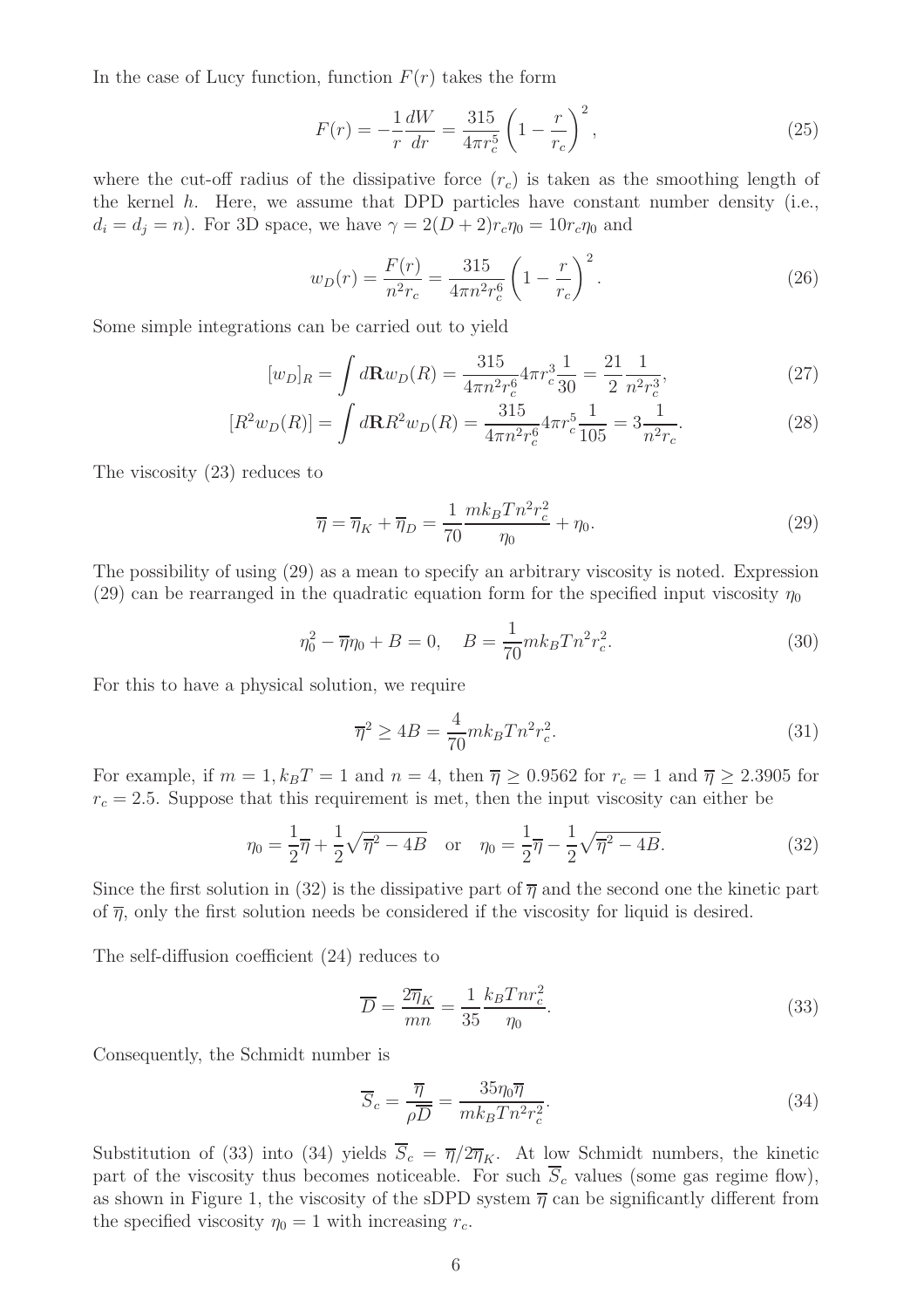In the case of Lucy function, function  $F(r)$  takes the form

$$
F(r) = -\frac{1}{r}\frac{dW}{dr} = \frac{315}{4\pi r_c^5} \left(1 - \frac{r}{r_c}\right)^2,\tag{25}
$$

where the cut-off radius of the dissipative force  $(r_c)$  is taken as the smoothing length of the kernel  $h$ . Here, we assume that DPD particles have constant number density (i.e.,  $d_i = d_j = n$ ). For 3D space, we have  $\gamma = 2(D+2)r_c\eta_0 = 10r_c\eta_0$  and

$$
w_D(r) = \frac{F(r)}{n^2 r_c} = \frac{315}{4\pi n^2 r_c^6} \left(1 - \frac{r}{r_c}\right)^2.
$$
 (26)

Some simple integrations can be carried out to yield

$$
[w_D]_R = \int d\mathbf{R} w_D(R) = \frac{315}{4\pi n^2 r_c^6} 4\pi r_c^3 \frac{1}{30} = \frac{21}{2} \frac{1}{n^2 r_c^3},\tag{27}
$$

$$
[R^2 w_D(R)] = \int d\mathbf{R} R^2 w_D(R) = \frac{315}{4\pi n^2 r_c^6} 4\pi r_c^5 \frac{1}{105} = 3\frac{1}{n^2 r_c}.
$$
 (28)

The viscosity (23) reduces to

$$
\overline{\eta} = \overline{\eta}_K + \overline{\eta}_D = \frac{1}{70} \frac{mk_B T n^2 r_c^2}{\eta_0} + \eta_0.
$$
\n(29)

The possibility of using (29) as a mean to specify an arbitrary viscosity is noted. Expression (29) can be rearranged in the quadratic equation form for the specified input viscosity  $\eta_0$ 

$$
\eta_0^2 - \overline{\eta}\eta_0 + B = 0, \quad B = \frac{1}{70} m k_B T n^2 r_c^2. \tag{30}
$$

For this to have a physical solution, we require

$$
\overline{\eta}^2 \ge 4B = \frac{4}{70} m k_B T n^2 r_c^2.
$$
\n(31)

For example, if  $m = 1, k_B T = 1$  and  $n = 4$ , then  $\overline{\eta} \ge 0.9562$  for  $r_c = 1$  and  $\overline{\eta} \ge 2.3905$  for  $r_c = 2.5$ . Suppose that this requirement is met, then the input viscosity can either be

$$
\eta_0 = \frac{1}{2}\overline{\eta} + \frac{1}{2}\sqrt{\overline{\eta}^2 - 4B} \quad \text{or} \quad \eta_0 = \frac{1}{2}\overline{\eta} - \frac{1}{2}\sqrt{\overline{\eta}^2 - 4B}.\tag{32}
$$

Since the first solution in (32) is the dissipative part of  $\overline{\eta}$  and the second one the kinetic part of  $\bar{\eta}$ , only the first solution needs be considered if the viscosity for liquid is desired.

The self-diffusion coefficient (24) reduces to

$$
\overline{D} = \frac{2\overline{\eta}_K}{mn} = \frac{1}{35} \frac{k_B T n r_c^2}{\eta_0}.
$$
\n(33)

Consequently, the Schmidt number is

$$
\overline{S}_c = \frac{\overline{\eta}}{\rho \overline{D}} = \frac{35\eta_0 \overline{\eta}}{mk_B T n^2 r_c^2}.
$$
\n(34)

Substitution of (33) into (34) yields  $\overline{S}_c = \overline{\eta}/2\overline{\eta}_K$ . At low Schmidt numbers, the kinetic part of the viscosity thus becomes noticeable. For such  $\overline{S}_c$  values (some gas regime flow), as shown in Figure 1, the viscosity of the sDPD system  $\overline{\eta}$  can be significantly different from the specified viscosity  $\eta_0 = 1$  with increasing  $r_c$ .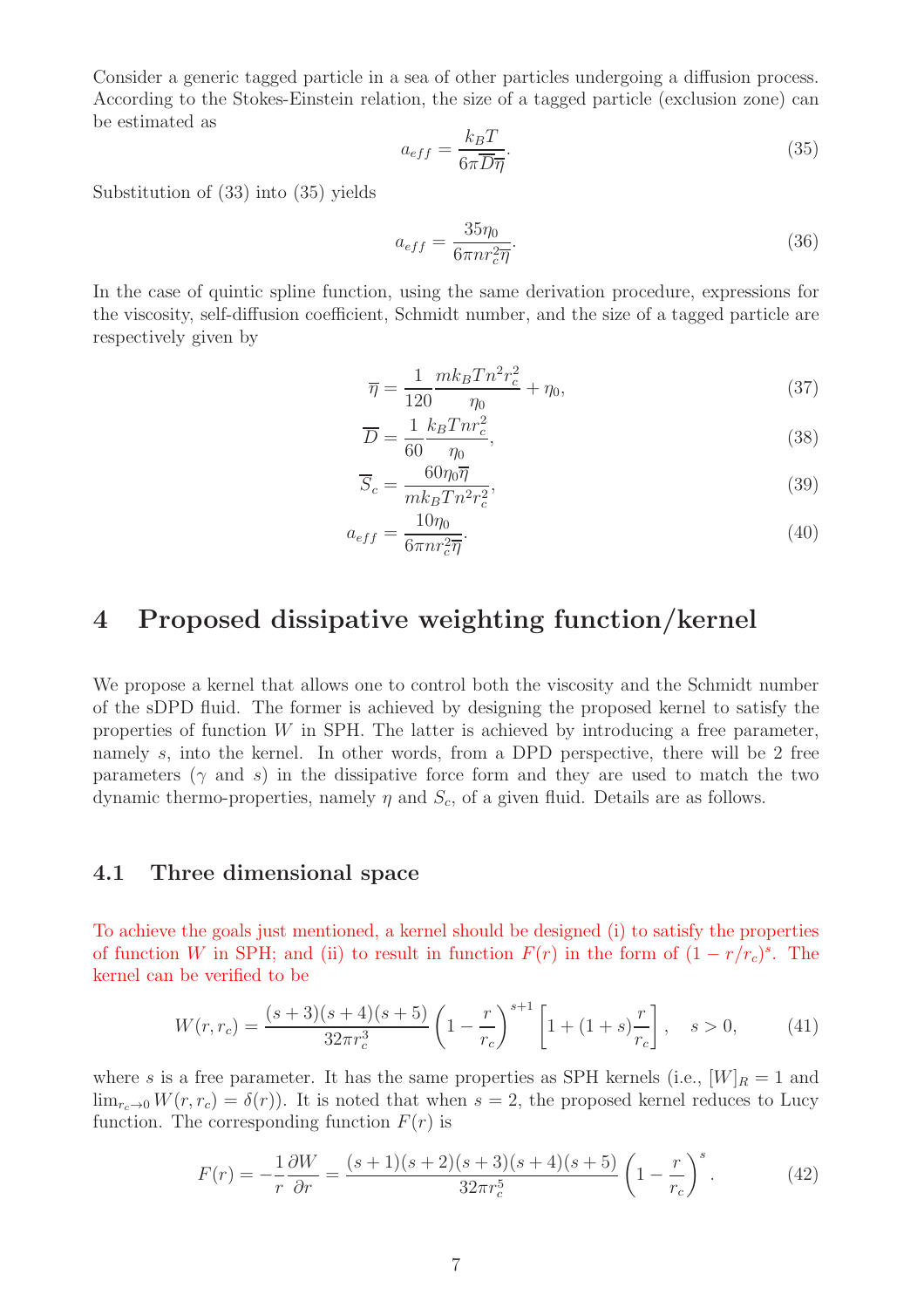Consider a generic tagged particle in a sea of other particles undergoing a diffusion process. According to the Stokes-Einstein relation, the size of a tagged particle (exclusion zone) can be estimated as

$$
a_{eff} = \frac{k_B T}{6\pi \overline{D} \overline{\eta}}.\tag{35}
$$

Substitution of (33) into (35) yields

$$
a_{eff} = \frac{35\eta_0}{6\pi n r_c^2 \overline{\eta}}.\tag{36}
$$

In the case of quintic spline function, using the same derivation procedure, expressions for the viscosity, self-diffusion coefficient, Schmidt number, and the size of a tagged particle are respectively given by

$$
\overline{\eta} = \frac{1}{120} \frac{mk_B T n^2 r_c^2}{\eta_0} + \eta_0,\tag{37}
$$

$$
\overline{D} = \frac{1}{60} \frac{k_B T n r_c^2}{\eta_0},\tag{38}
$$

$$
\overline{S}_c = \frac{60\eta_0 \overline{\eta}}{mk_B T n^2 r_c^2},\tag{39}
$$

$$
a_{eff} = \frac{10\eta_0}{6\pi n r_c^2 \overline{\eta}}.\tag{40}
$$

### 4 Proposed dissipative weighting function/kernel

We propose a kernel that allows one to control both the viscosity and the Schmidt number of the sDPD fluid. The former is achieved by designing the proposed kernel to satisfy the properties of function  $W$  in SPH. The latter is achieved by introducing a free parameter, namely s, into the kernel. In other words, from a DPD perspective, there will be 2 free parameters ( $\gamma$  and s) in the dissipative force form and they are used to match the two dynamic thermo-properties, namely  $\eta$  and  $S_c$ , of a given fluid. Details are as follows.

#### 4.1 Three dimensional space

To achieve the goals just mentioned, a kernel should be designed (i) to satisfy the properties of function W in SPH; and (ii) to result in function  $F(r)$  in the form of  $(1 - r/r_c)^s$ . The kernel can be verified to be

$$
W(r,r_c) = \frac{(s+3)(s+4)(s+5)}{32\pi r_c^3} \left(1 - \frac{r}{r_c}\right)^{s+1} \left[1 + (1+s)\frac{r}{r_c}\right], \quad s > 0,
$$
 (41)

where s is a free parameter. It has the same properties as SPH kernels (i.e.,  $[W]_R = 1$  and  $\lim_{x \to 0} W(r, r_c) = \delta(r)$ . It is noted that when  $s = 2$ , the proposed kernel reduces to Lucy function. The corresponding function  $F(r)$  is

$$
F(r) = -\frac{1}{r}\frac{\partial W}{\partial r} = \frac{(s+1)(s+2)(s+3)(s+4)(s+5)}{32\pi r_c^5} \left(1 - \frac{r}{r_c}\right)^s.
$$
 (42)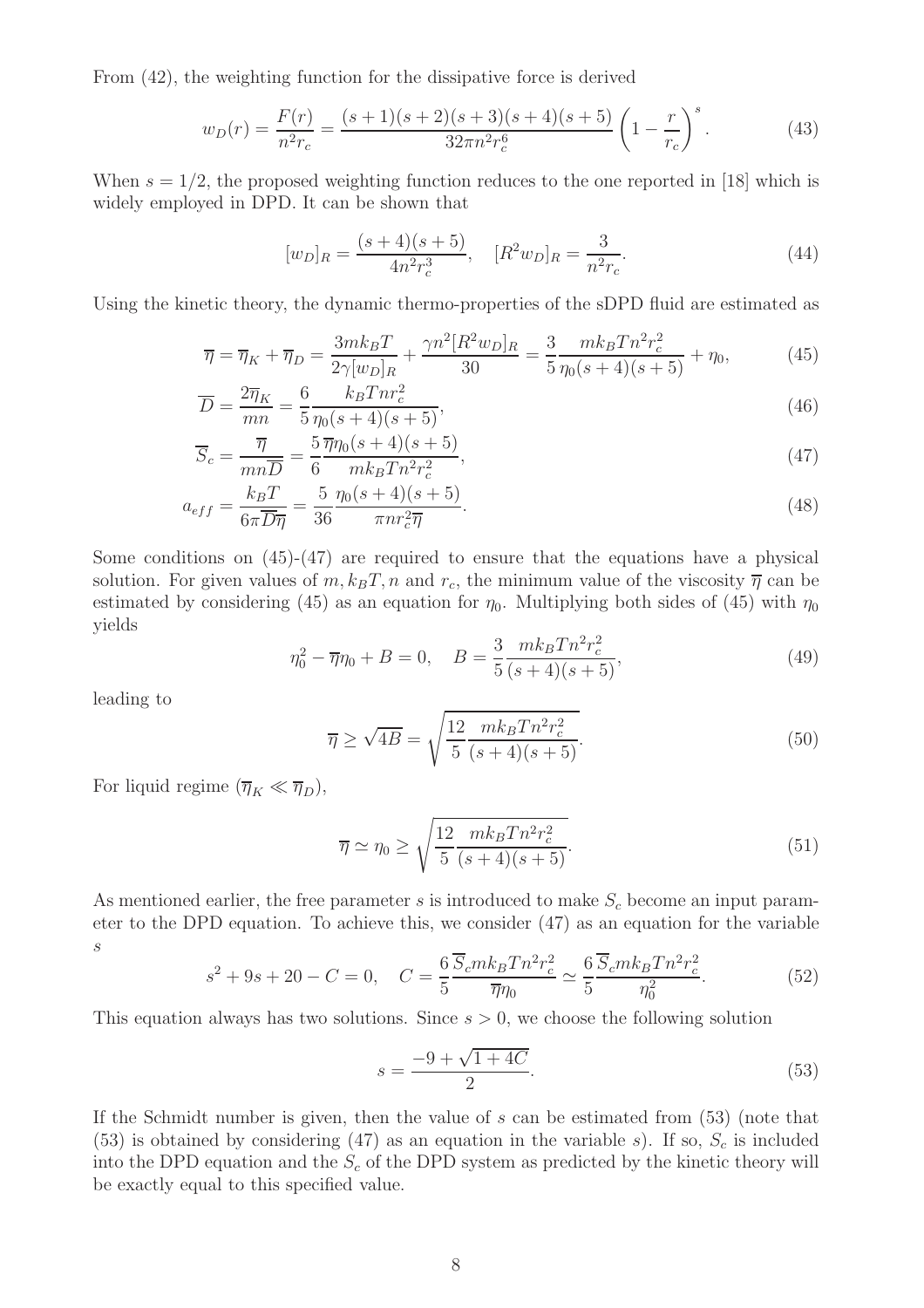From (42), the weighting function for the dissipative force is derived

$$
w_D(r) = \frac{F(r)}{n^2 r_c} = \frac{(s+1)(s+2)(s+3)(s+4)(s+5)}{32\pi n^2 r_c^6} \left(1 - \frac{r}{r_c}\right)^s.
$$
 (43)

When  $s = 1/2$ , the proposed weighting function reduces to the one reported in [18] which is widely employed in DPD. It can be shown that

$$
[w_D]_R = \frac{(s+4)(s+5)}{4n^2r_c^3}, \quad [R^2w_D]_R = \frac{3}{n^2r_c}.
$$
\n(44)

Using the kinetic theory, the dynamic thermo-properties of the sDPD fluid are estimated as

$$
\overline{\eta} = \overline{\eta}_K + \overline{\eta}_D = \frac{3mk_BT}{2\gamma[w_D]_R} + \frac{\gamma n^2 [R^2 w_D]_R}{30} = \frac{3}{5} \frac{mk_BTn^2r_c^2}{\eta_0(s+4)(s+5)} + \eta_0,\tag{45}
$$

$$
\overline{D} = \frac{2\overline{\eta}_K}{mn} = \frac{6}{5} \frac{k_B T n r_c^2}{\eta_0 (s+4)(s+5)},
$$
\n(46)

$$
\overline{S}_c = \frac{\overline{\eta}}{mn\overline{D}} = \frac{5}{6} \frac{\overline{\eta}\eta_0 (s+4)(s+5)}{mk_B T n^2 r_c^2},\tag{47}
$$

$$
a_{eff} = \frac{k_B T}{6\pi \overline{D} \overline{\eta}} = \frac{5}{36} \frac{\eta_0 (s+4)(s+5)}{\pi n r_c^2 \overline{\eta}}.
$$
\n(48)

Some conditions on  $(45)-(47)$  are required to ensure that the equations have a physical solution. For given values of  $m$ ,  $k_BT$ , n and  $r_c$ , the minimum value of the viscosity  $\overline{\eta}$  can be estimated by considering (45) as an equation for  $\eta_0$ . Multiplying both sides of (45) with  $\eta_0$ yields

$$
\eta_0^2 - \overline{\eta}\eta_0 + B = 0, \quad B = \frac{3}{5} \frac{mk_B T n^2 r_c^2}{(s+4)(s+5)},\tag{49}
$$

leading to

$$
\overline{\eta} \ge \sqrt{4B} = \sqrt{\frac{12}{5} \frac{mk_B T n^2 r_c^2}{(s+4)(s+5)}}.
$$
\n(50)

For liquid regime  $(\overline{\eta}_K \ll \overline{\eta}_D)$ ,

$$
\overline{\eta} \simeq \eta_0 \ge \sqrt{\frac{12}{5} \frac{mk_B T n^2 r_c^2}{(s+4)(s+5)}}.
$$
\n
$$
(51)
$$

As mentioned earlier, the free parameter s is introduced to make  $S_c$  become an input parameter to the DPD equation. To achieve this, we consider (47) as an equation for the variable s

$$
s^2 + 9s + 20 - C = 0, \quad C = \frac{6}{5} \frac{\overline{S}_c m k_B T n^2 r_c^2}{\overline{\eta} \eta_0} \simeq \frac{6}{5} \frac{\overline{S}_c m k_B T n^2 r_c^2}{\eta_0^2}.
$$
 (52)

This equation always has two solutions. Since  $s > 0$ , we choose the following solution

$$
s = \frac{-9 + \sqrt{1 + 4C}}{2}.\tag{53}
$$

If the Schmidt number is given, then the value of  $s$  can be estimated from  $(53)$  (note that (53) is obtained by considering (47) as an equation in the variable s). If so,  $S_c$  is included into the DPD equation and the  $S_c$  of the DPD system as predicted by the kinetic theory will be exactly equal to this specified value.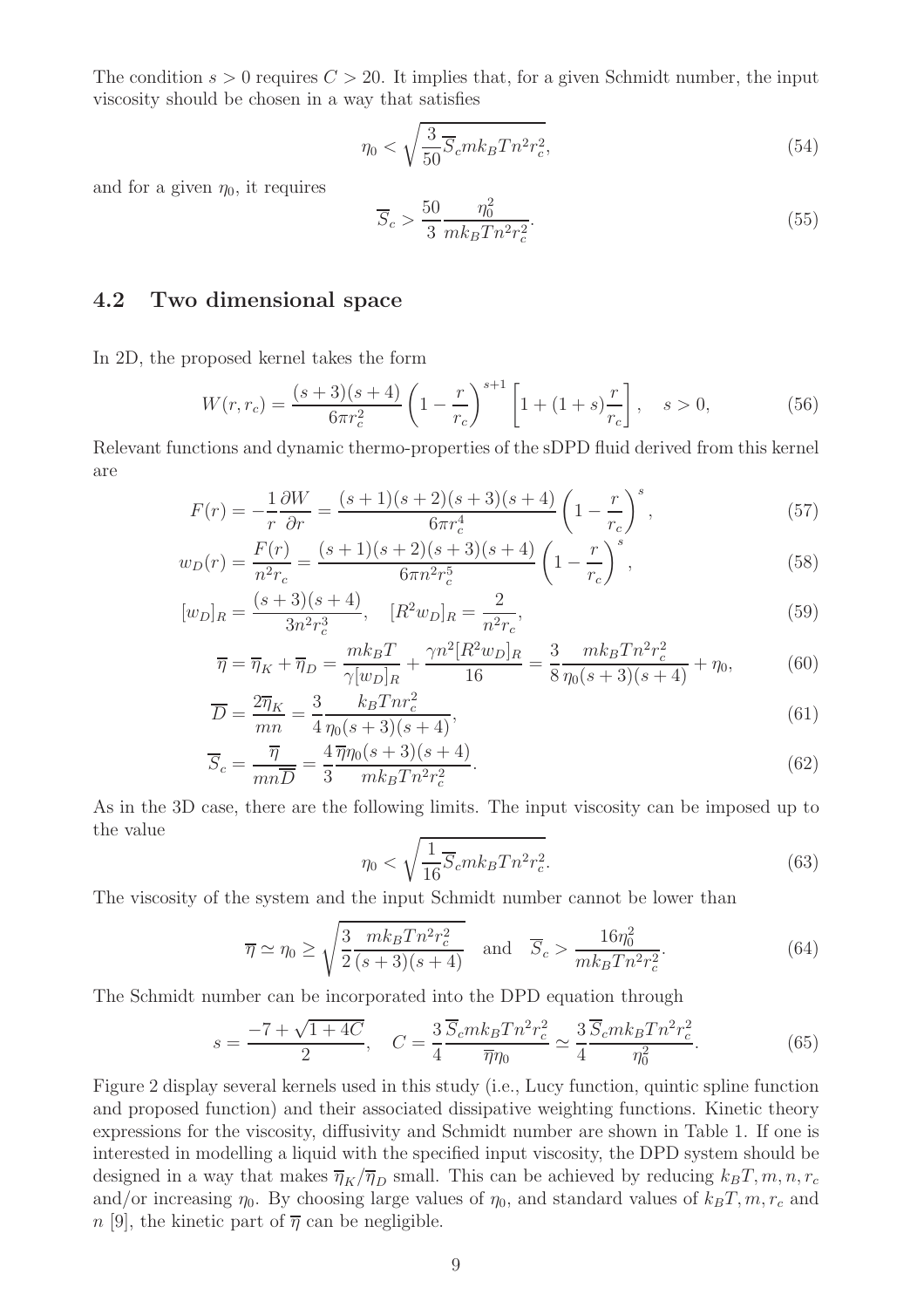The condition  $s > 0$  requires  $C > 20$ . It implies that, for a given Schmidt number, the input viscosity should be chosen in a way that satisfies

$$
\eta_0 < \sqrt{\frac{3}{50} \overline{S}_c m k_B T n^2 r_c^2},\tag{54}
$$

and for a given  $\eta_0$ , it requires

$$
\overline{S}_c > \frac{50}{3} \frac{\eta_0^2}{mk_B T n^2 r_c^2}.
$$
\n
$$
(55)
$$

#### 4.2 Two dimensional space

In 2D, the proposed kernel takes the form

$$
W(r,r_c) = \frac{(s+3)(s+4)}{6\pi r_c^2} \left(1 - \frac{r}{r_c}\right)^{s+1} \left[1 + (1+s)\frac{r}{r_c}\right], \quad s > 0,
$$
 (56)

Relevant functions and dynamic thermo-properties of the sDPD fluid derived from this kernel are

$$
F(r) = -\frac{1}{r}\frac{\partial W}{\partial r} = \frac{(s+1)(s+2)(s+3)(s+4)}{6\pi r_c^4} \left(1 - \frac{r}{r_c}\right)^s,\tag{57}
$$

$$
w_D(r) = \frac{F(r)}{n^2 r_c} = \frac{(s+1)(s+2)(s+3)(s+4)}{6\pi n^2 r_c^5} \left(1 - \frac{r}{r_c}\right)^s,
$$
\n(58)

$$
[w_D]_R = \frac{(s+3)(s+4)}{3n^2r_c^3}, \quad [R^2w_D]_R = \frac{2}{n^2r_c},\tag{59}
$$

$$
\overline{\eta} = \overline{\eta}_K + \overline{\eta}_D = \frac{mk_B T}{\gamma [w_D]_R} + \frac{\gamma n^2 [R^2 w_D]_R}{16} = \frac{3}{8} \frac{mk_B T n^2 r_c^2}{\eta_0 (s+3)(s+4)} + \eta_0,\tag{60}
$$

$$
\overline{D} = \frac{2\overline{\eta}_K}{mn} = \frac{3}{4} \frac{k_B T n r_c^2}{\eta_0 (s+3)(s+4)},\tag{61}
$$

$$
\overline{S}_c = \frac{\overline{\eta}}{mn\overline{D}} = \frac{4}{3} \frac{\overline{\eta}\eta_0(s+3)(s+4)}{mk_B T n^2 r_c^2}.
$$
\n(62)

As in the 3D case, there are the following limits. The input viscosity can be imposed up to the value

$$
\eta_0 < \sqrt{\frac{1}{16} \overline{S}_c m k_B T n^2 r_c^2}.\tag{63}
$$

The viscosity of the system and the input Schmidt number cannot be lower than

$$
\overline{\eta} \simeq \eta_0 \ge \sqrt{\frac{3}{2} \frac{mk_B T n^2 r_c^2}{(s+3)(s+4)}} \quad \text{and} \quad \overline{S}_c > \frac{16 \eta_0^2}{mk_B T n^2 r_c^2}.
$$
 (64)

The Schmidt number can be incorporated into the DPD equation through

$$
s = \frac{-7 + \sqrt{1 + 4C}}{2}, \quad C = \frac{3}{4} \frac{\overline{S}_c m k_B T n^2 r_c^2}{\overline{\eta} \eta_0} \simeq \frac{3}{4} \frac{\overline{S}_c m k_B T n^2 r_c^2}{\eta_0^2}.
$$
 (65)

Figure 2 display several kernels used in this study (i.e., Lucy function, quintic spline function and proposed function) and their associated dissipative weighting functions. Kinetic theory expressions for the viscosity, diffusivity and Schmidt number are shown in Table 1. If one is interested in modelling a liquid with the specified input viscosity, the DPD system should be designed in a way that makes  $\overline{\eta}_K/\overline{\eta}_D$  small. This can be achieved by reducing  $k_BT, m, n, r_c$ and/or increasing  $\eta_0$ . By choosing large values of  $\eta_0$ , and standard values of  $k_BT$ , m,  $r_c$  and  $n$  [9], the kinetic part of  $\overline{\eta}$  can be negligible.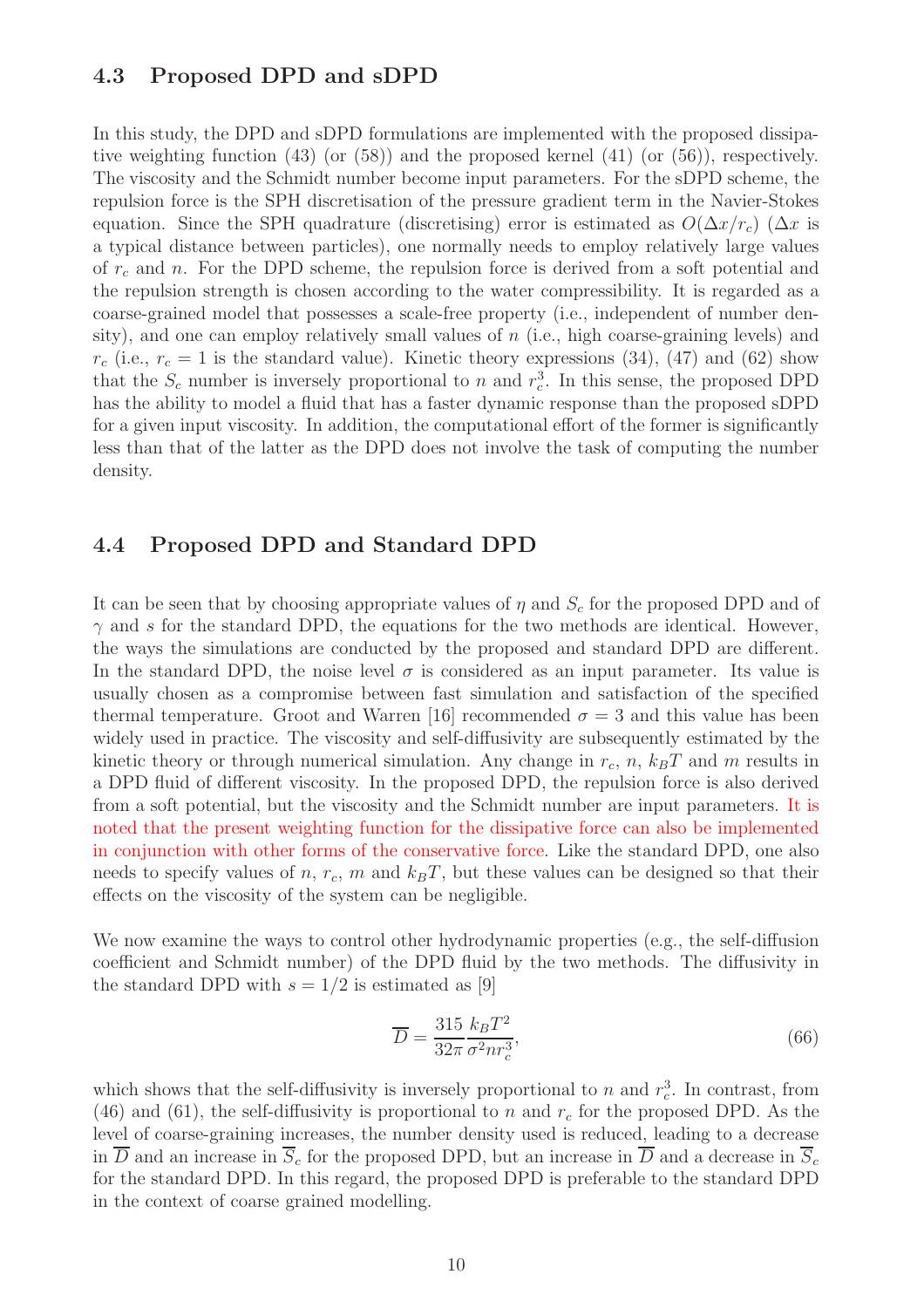#### 4.3 Proposed DPD and sDPD

In this study, the DPD and sDPD formulations are implemented with the proposed dissipative weighting function (43) (or (58)) and the proposed kernel (41) (or (56)), respectively. The viscosity and the Schmidt number become input parameters. For the sDPD scheme, the repulsion force is the SPH discretisation of the pressure gradient term in the Navier-Stokes equation. Since the SPH quadrature (discretising) error is estimated as  $O(\Delta x/r_c)$  ( $\Delta x$  is a typical distance between particles), one normally needs to employ relatively large values of  $r_c$  and n. For the DPD scheme, the repulsion force is derived from a soft potential and the repulsion strength is chosen according to the water compressibility. It is regarded as a coarse-grained model that possesses a scale-free property (i.e., independent of number density), and one can employ relatively small values of  $n$  (i.e., high coarse-graining levels) and  $r_c$  (i.e.,  $r_c = 1$  is the standard value). Kinetic theory expressions (34), (47) and (62) show that the  $S_c$  number is inversely proportional to n and  $r_c^3$  $_{c}^{3}$ . In this sense, the proposed DPD has the ability to model a fluid that has a faster dynamic response than the proposed sDPD for a given input viscosity. In addition, the computational effort of the former is significantly less than that of the latter as the DPD does not involve the task of computing the number density.

#### 4.4 Proposed DPD and Standard DPD

It can be seen that by choosing appropriate values of  $\eta$  and  $S_c$  for the proposed DPD and of  $\gamma$  and s for the standard DPD, the equations for the two methods are identical. However, the ways the simulations are conducted by the proposed and standard DPD are different. In the standard DPD, the noise level  $\sigma$  is considered as an input parameter. Its value is usually chosen as a compromise between fast simulation and satisfaction of the specified thermal temperature. Groot and Warren [16] recommended  $\sigma = 3$  and this value has been widely used in practice. The viscosity and self-diffusivity are subsequently estimated by the kinetic theory or through numerical simulation. Any change in  $r_c$ , n,  $k_BT$  and m results in a DPD fluid of different viscosity. In the proposed DPD, the repulsion force is also derived from a soft potential, but the viscosity and the Schmidt number are input parameters. It is noted that the present weighting function for the dissipative force can also be implemented in conjunction with other forms of the conservative force. Like the standard DPD, one also needs to specify values of n,  $r_c$ , m and  $k_BT$ , but these values can be designed so that their effects on the viscosity of the system can be negligible.

We now examine the ways to control other hydrodynamic properties (e.g., the self-diffusion coefficient and Schmidt number) of the DPD fluid by the two methods. The diffusivity in the standard DPD with  $s = 1/2$  is estimated as [9]

$$
\overline{D} = \frac{315}{32\pi} \frac{k_B T^2}{\sigma^2 n r_c^3},\tag{66}
$$

which shows that the self-diffusivity is inversely proportional to n and  $r_c^3$  $_{c}^{3}$ . In contrast, from (46) and (61), the self-diffusivity is proportional to n and  $r_c$  for the proposed DPD. As the level of coarse-graining increases, the number density used is reduced, leading to a decrease in  $\overline{D}$  and an increase in  $\overline{S}_c$  for the proposed DPD, but an increase in  $\overline{D}$  and a decrease in  $\overline{S}_c$ for the standard DPD. In this regard, the proposed DPD is preferable to the standard DPD in the context of coarse grained modelling.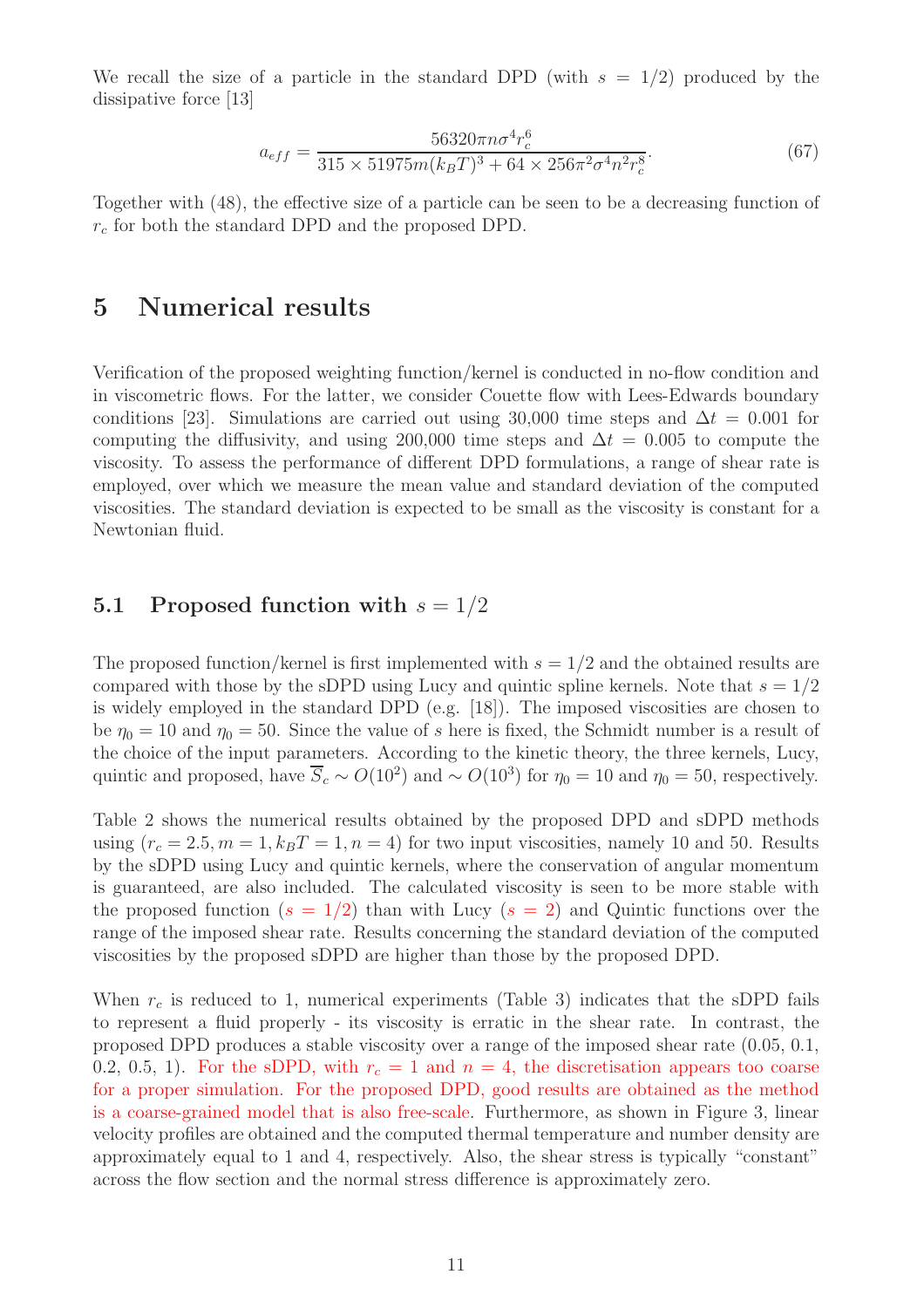We recall the size of a particle in the standard DPD (with  $s = 1/2$ ) produced by the dissipative force [13]

$$
a_{eff} = \frac{56320\pi n\sigma^4 r_c^6}{315 \times 51975 m (k_B T)^3 + 64 \times 256\pi^2 \sigma^4 n^2 r_c^8}.
$$
(67)

Together with (48), the effective size of a particle can be seen to be a decreasing function of  $r_c$  for both the standard DPD and the proposed DPD.

### 5 Numerical results

Verification of the proposed weighting function/kernel is conducted in no-flow condition and in viscometric flows. For the latter, we consider Couette flow with Lees-Edwards boundary conditions [23]. Simulations are carried out using 30,000 time steps and  $\Delta t = 0.001$  for computing the diffusivity, and using 200,000 time steps and  $\Delta t = 0.005$  to compute the viscosity. To assess the performance of different DPD formulations, a range of shear rate is employed, over which we measure the mean value and standard deviation of the computed viscosities. The standard deviation is expected to be small as the viscosity is constant for a Newtonian fluid.

#### 5.1 Proposed function with  $s = 1/2$

The proposed function/kernel is first implemented with  $s = 1/2$  and the obtained results are compared with those by the sDPD using Lucy and quintic spline kernels. Note that  $s = 1/2$ is widely employed in the standard DPD (e.g. [18]). The imposed viscosities are chosen to be  $\eta_0 = 10$  and  $\eta_0 = 50$ . Since the value of s here is fixed, the Schmidt number is a result of the choice of the input parameters. According to the kinetic theory, the three kernels, Lucy, quintic and proposed, have  $\overline{S}_c \sim O(10^2)$  and  $\sim O(10^3)$  for  $\eta_0 = 10$  and  $\eta_0 = 50$ , respectively.

Table 2 shows the numerical results obtained by the proposed DPD and sDPD methods using  $(r_c = 2.5, m = 1, k_B T = 1, n = 4)$  for two input viscosities, namely 10 and 50. Results by the sDPD using Lucy and quintic kernels, where the conservation of angular momentum is guaranteed, are also included. The calculated viscosity is seen to be more stable with the proposed function  $(s = 1/2)$  than with Lucy  $(s = 2)$  and Quintic functions over the range of the imposed shear rate. Results concerning the standard deviation of the computed viscosities by the proposed sDPD are higher than those by the proposed DPD.

When  $r_c$  is reduced to 1, numerical experiments (Table 3) indicates that the sDPD fails to represent a fluid properly - its viscosity is erratic in the shear rate. In contrast, the proposed DPD produces a stable viscosity over a range of the imposed shear rate (0.05, 0.1, 0.2, 0.5, 1). For the sDPD, with  $r_c = 1$  and  $n = 4$ , the discretisation appears too coarse for a proper simulation. For the proposed DPD, good results are obtained as the method is a coarse-grained model that is also free-scale. Furthermore, as shown in Figure 3, linear velocity profiles are obtained and the computed thermal temperature and number density are approximately equal to 1 and 4, respectively. Also, the shear stress is typically "constant" across the flow section and the normal stress difference is approximately zero.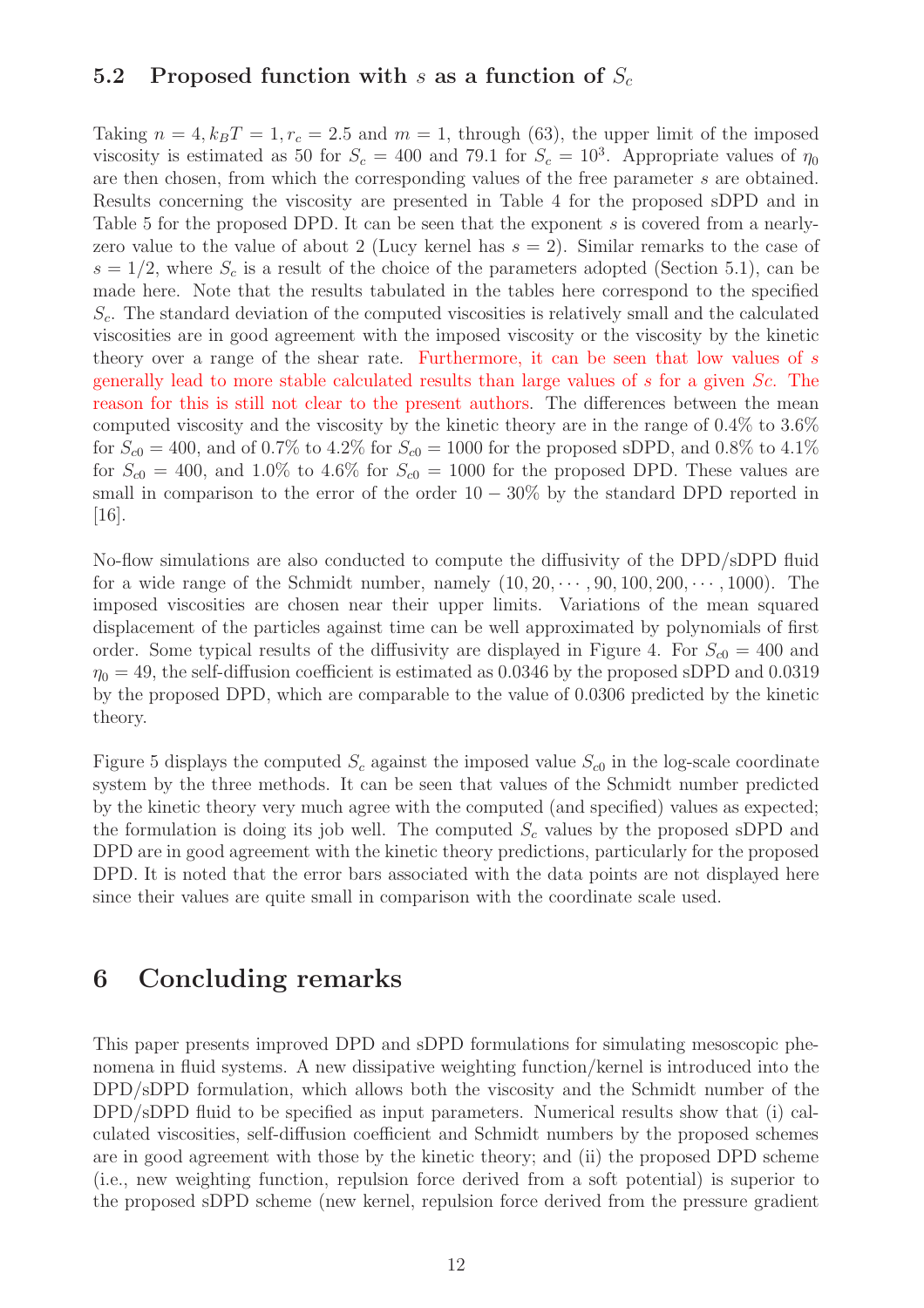#### 5.2 Proposed function with s as a function of  $S_c$

Taking  $n = 4$ ,  $k_B T = 1$ ,  $r_c = 2.5$  and  $m = 1$ , through (63), the upper limit of the imposed viscosity is estimated as 50 for  $S_c = 400$  and 79.1 for  $S_c = 10^3$ . Appropriate values of  $\eta_0$ are then chosen, from which the corresponding values of the free parameter s are obtained. Results concerning the viscosity are presented in Table 4 for the proposed sDPD and in Table 5 for the proposed DPD. It can be seen that the exponent s is covered from a nearlyzero value to the value of about 2 (Lucy kernel has  $s = 2$ ). Similar remarks to the case of  $s = 1/2$ , where  $S_c$  is a result of the choice of the parameters adopted (Section 5.1), can be made here. Note that the results tabulated in the tables here correspond to the specified  $S_c$ . The standard deviation of the computed viscosities is relatively small and the calculated viscosities are in good agreement with the imposed viscosity or the viscosity by the kinetic theory over a range of the shear rate. Furthermore, it can be seen that low values of s generally lead to more stable calculated results than large values of s for a given Sc. The reason for this is still not clear to the present authors. The differences between the mean computed viscosity and the viscosity by the kinetic theory are in the range of 0.4% to 3.6% for  $S_{c0} = 400$ , and of 0.7% to 4.2% for  $S_{c0} = 1000$  for the proposed sDPD, and 0.8% to 4.1% for  $S_{c0} = 400$ , and 1.0% to 4.6% for  $S_{c0} = 1000$  for the proposed DPD. These values are small in comparison to the error of the order  $10 - 30\%$  by the standard DPD reported in [16].

No-flow simulations are also conducted to compute the diffusivity of the DPD/sDPD fluid for a wide range of the Schmidt number, namely  $(10, 20, \dots, 90, 100, 200, \dots, 1000)$ . The imposed viscosities are chosen near their upper limits. Variations of the mean squared displacement of the particles against time can be well approximated by polynomials of first order. Some typical results of the diffusivity are displayed in Figure 4. For  $S_{c0} = 400$  and  $\eta_0 = 49$ , the self-diffusion coefficient is estimated as 0.0346 by the proposed sDPD and 0.0319 by the proposed DPD, which are comparable to the value of 0.0306 predicted by the kinetic theory.

Figure 5 displays the computed  $S_c$  against the imposed value  $S_{c0}$  in the log-scale coordinate system by the three methods. It can be seen that values of the Schmidt number predicted by the kinetic theory very much agree with the computed (and specified) values as expected; the formulation is doing its job well. The computed  $S_c$  values by the proposed sDPD and DPD are in good agreement with the kinetic theory predictions, particularly for the proposed DPD. It is noted that the error bars associated with the data points are not displayed here since their values are quite small in comparison with the coordinate scale used.

### 6 Concluding remarks

This paper presents improved DPD and sDPD formulations for simulating mesoscopic phenomena in fluid systems. A new dissipative weighting function/kernel is introduced into the DPD/sDPD formulation, which allows both the viscosity and the Schmidt number of the DPD/sDPD fluid to be specified as input parameters. Numerical results show that (i) calculated viscosities, self-diffusion coefficient and Schmidt numbers by the proposed schemes are in good agreement with those by the kinetic theory; and (ii) the proposed DPD scheme (i.e., new weighting function, repulsion force derived from a soft potential) is superior to the proposed sDPD scheme (new kernel, repulsion force derived from the pressure gradient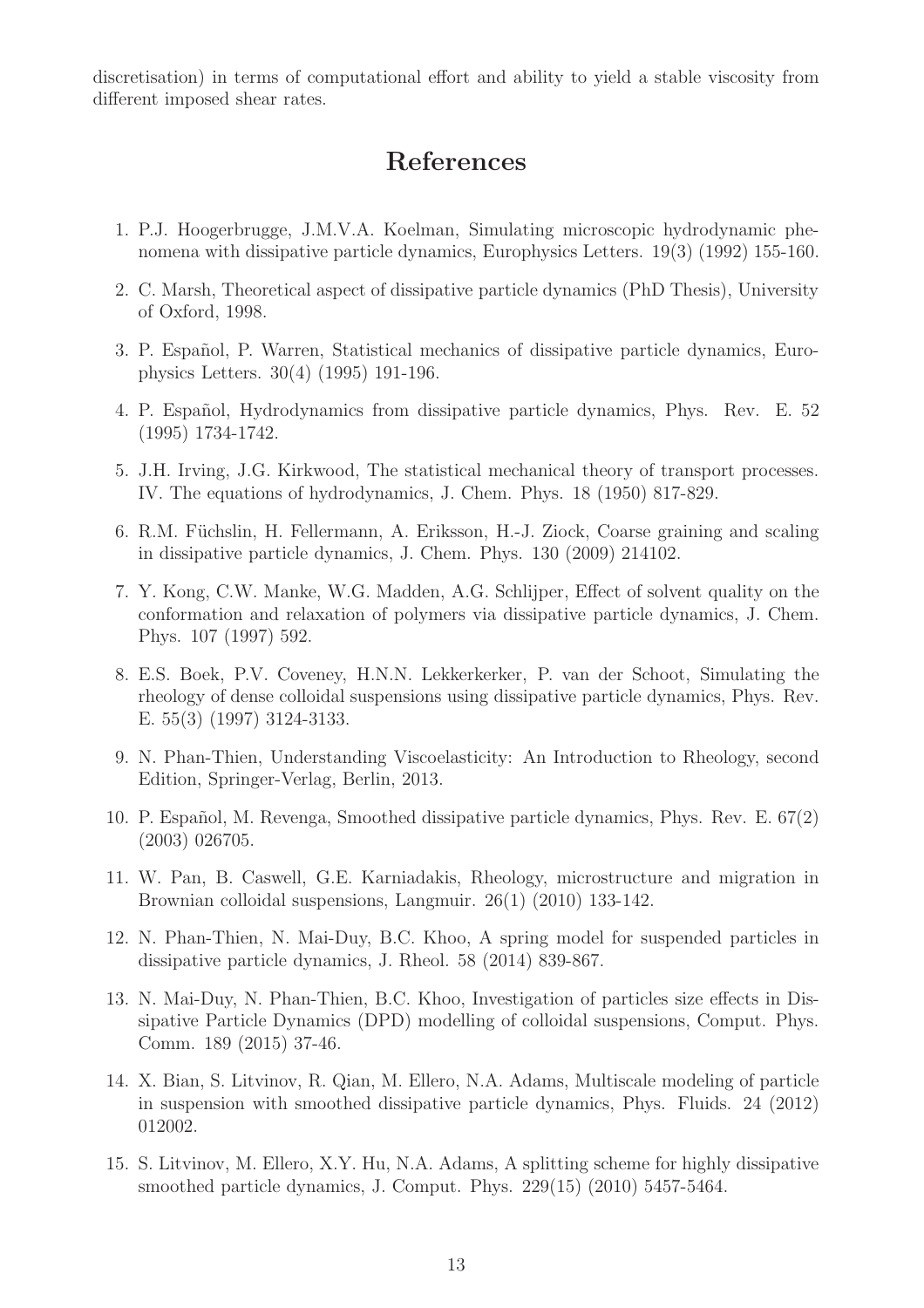discretisation) in terms of computational effort and ability to yield a stable viscosity from different imposed shear rates.

# References

- 1. P.J. Hoogerbrugge, J.M.V.A. Koelman, Simulating microscopic hydrodynamic phenomena with dissipative particle dynamics, Europhysics Letters. 19(3) (1992) 155-160.
- 2. C. Marsh, Theoretical aspect of dissipative particle dynamics (PhD Thesis), University of Oxford, 1998.
- 3. P. Español, P. Warren, Statistical mechanics of dissipative particle dynamics, Europhysics Letters. 30(4) (1995) 191-196.
- 4. P. Español, Hydrodynamics from dissipative particle dynamics, Phys. Rev. E. 52 (1995) 1734-1742.
- 5. J.H. Irving, J.G. Kirkwood, The statistical mechanical theory of transport processes. IV. The equations of hydrodynamics, J. Chem. Phys. 18 (1950) 817-829.
- 6. R.M. Füchslin, H. Fellermann, A. Eriksson, H.-J. Ziock, Coarse graining and scaling in dissipative particle dynamics, J. Chem. Phys. 130 (2009) 214102.
- 7. Y. Kong, C.W. Manke, W.G. Madden, A.G. Schlijper, Effect of solvent quality on the conformation and relaxation of polymers via dissipative particle dynamics, J. Chem. Phys. 107 (1997) 592.
- 8. E.S. Boek, P.V. Coveney, H.N.N. Lekkerkerker, P. van der Schoot, Simulating the rheology of dense colloidal suspensions using dissipative particle dynamics, Phys. Rev. E. 55(3) (1997) 3124-3133.
- 9. N. Phan-Thien, Understanding Viscoelasticity: An Introduction to Rheology, second Edition, Springer-Verlag, Berlin, 2013.
- 10. P. Espa˜nol, M. Revenga, Smoothed dissipative particle dynamics, Phys. Rev. E. 67(2) (2003) 026705.
- 11. W. Pan, B. Caswell, G.E. Karniadakis, Rheology, microstructure and migration in Brownian colloidal suspensions, Langmuir. 26(1) (2010) 133-142.
- 12. N. Phan-Thien, N. Mai-Duy, B.C. Khoo, A spring model for suspended particles in dissipative particle dynamics, J. Rheol. 58 (2014) 839-867.
- 13. N. Mai-Duy, N. Phan-Thien, B.C. Khoo, Investigation of particles size effects in Dissipative Particle Dynamics (DPD) modelling of colloidal suspensions, Comput. Phys. Comm. 189 (2015) 37-46.
- 14. X. Bian, S. Litvinov, R. Qian, M. Ellero, N.A. Adams, Multiscale modeling of particle in suspension with smoothed dissipative particle dynamics, Phys. Fluids. 24 (2012) 012002.
- 15. S. Litvinov, M. Ellero, X.Y. Hu, N.A. Adams, A splitting scheme for highly dissipative smoothed particle dynamics, J. Comput. Phys. 229(15) (2010) 5457-5464.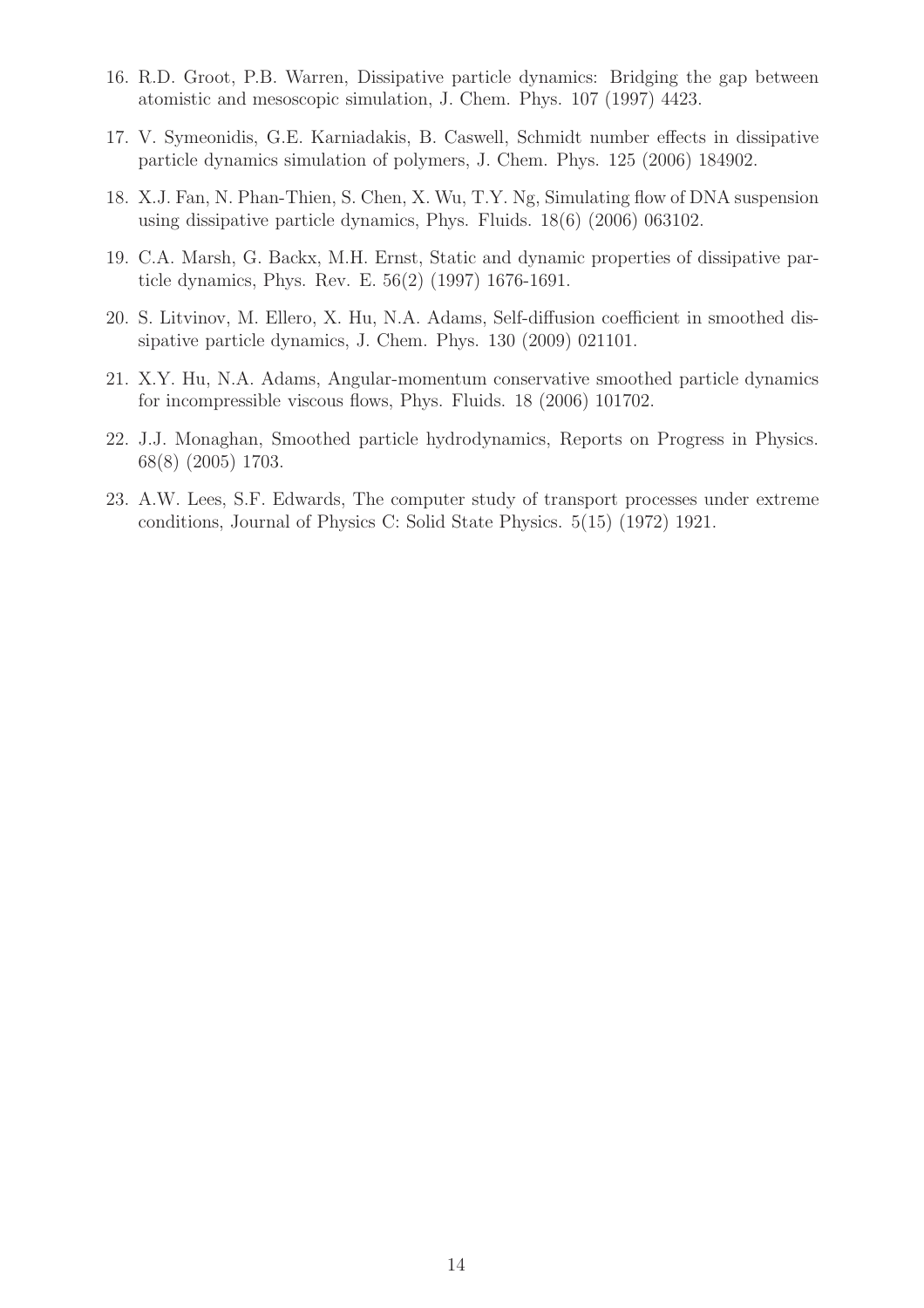- 16. R.D. Groot, P.B. Warren, Dissipative particle dynamics: Bridging the gap between atomistic and mesoscopic simulation, J. Chem. Phys. 107 (1997) 4423.
- 17. V. Symeonidis, G.E. Karniadakis, B. Caswell, Schmidt number effects in dissipative particle dynamics simulation of polymers, J. Chem. Phys. 125 (2006) 184902.
- 18. X.J. Fan, N. Phan-Thien, S. Chen, X. Wu, T.Y. Ng, Simulating flow of DNA suspension using dissipative particle dynamics, Phys. Fluids. 18(6) (2006) 063102.
- 19. C.A. Marsh, G. Backx, M.H. Ernst, Static and dynamic properties of dissipative particle dynamics, Phys. Rev. E. 56(2) (1997) 1676-1691.
- 20. S. Litvinov, M. Ellero, X. Hu, N.A. Adams, Self-diffusion coefficient in smoothed dissipative particle dynamics, J. Chem. Phys. 130 (2009) 021101.
- 21. X.Y. Hu, N.A. Adams, Angular-momentum conservative smoothed particle dynamics for incompressible viscous flows, Phys. Fluids. 18 (2006) 101702.
- 22. J.J. Monaghan, Smoothed particle hydrodynamics, Reports on Progress in Physics. 68(8) (2005) 1703.
- 23. A.W. Lees, S.F. Edwards, The computer study of transport processes under extreme conditions, Journal of Physics C: Solid State Physics. 5(15) (1972) 1921.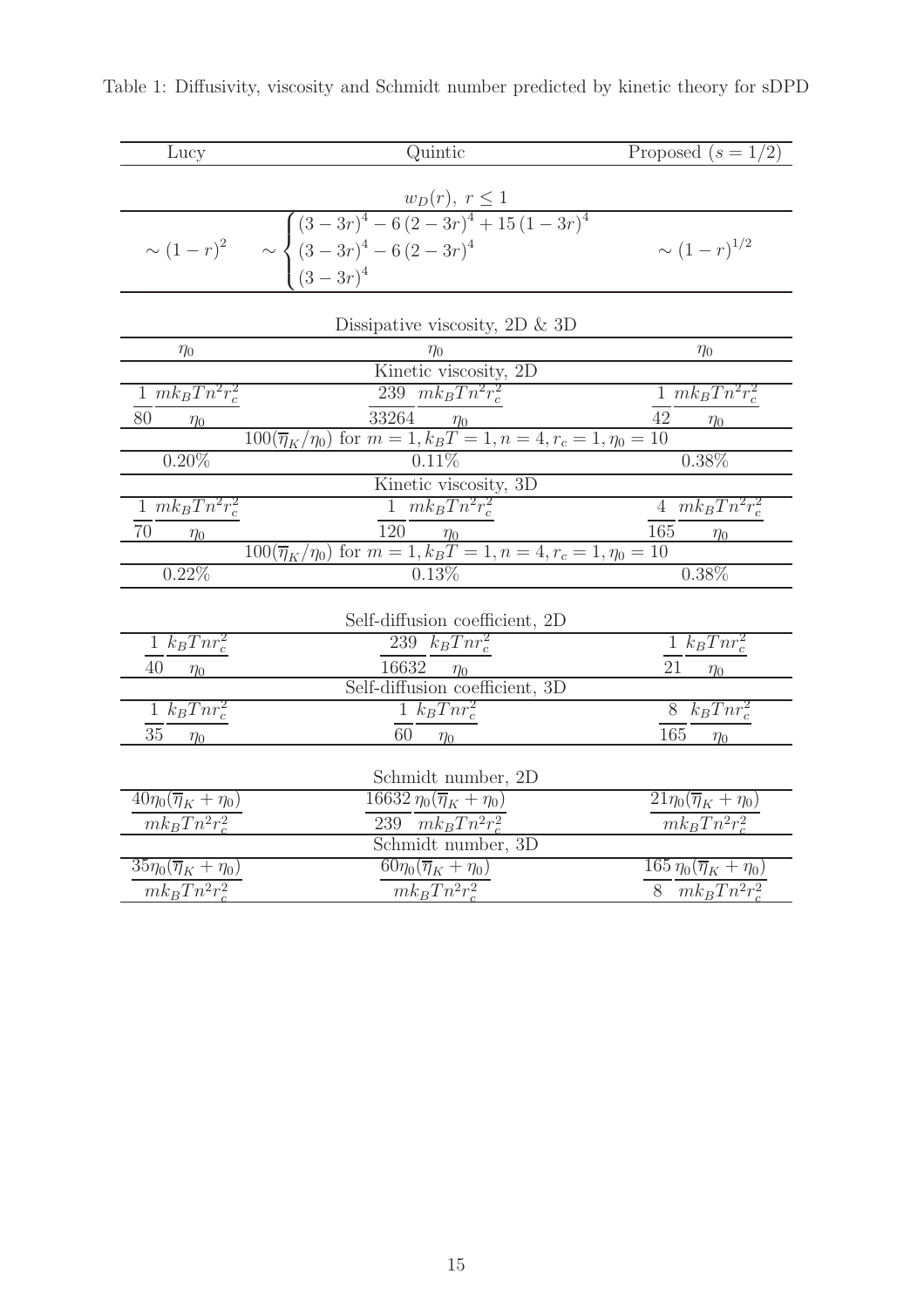| Lucy                                     | Quintic                                                                                                                                    | Proposed $(s = 1/2)$                    |
|------------------------------------------|--------------------------------------------------------------------------------------------------------------------------------------------|-----------------------------------------|
|                                          |                                                                                                                                            |                                         |
|                                          | $w_D(r), r \le 1$<br>$\sim (1-r)^2$ $\sim \begin{cases} (3-3r)^4 - 6(2-3r)^4 + 15(1-3r)^4 \\ (3-3r)^4 - 6(2-3r)^4 \\ (3-3r)^4 \end{cases}$ | $\sim (1-r)^{1/2}$                      |
|                                          |                                                                                                                                            |                                         |
|                                          | Dissipative viscosity, 2D $\&$ 3D                                                                                                          |                                         |
| $\eta_0$                                 | $\eta_0$                                                                                                                                   | $\eta_0$                                |
|                                          | Kinetic viscosity, 2D                                                                                                                      |                                         |
| $\frac{1}{1} \frac{mk_B T n^2 r_c^2}{m}$ | 239 $mk_B T n^2 r_c^2$                                                                                                                     | $\overline{1 mk_B}Tn^2r_c^2$            |
| 80<br>$\eta_0$                           | $\frac{33264}{100(\overline{\eta}_K/\eta_0) \text{ for } m=1, k_B T=1, n=4, r_c=1, \eta_0=10}$                                             | $\eta_0$                                |
| $0.20\%$                                 |                                                                                                                                            | $0.38\%$                                |
|                                          | 0.11%<br>Kinetic viscosity, 3D                                                                                                             |                                         |
|                                          |                                                                                                                                            |                                         |
| $1 mk_BTn^2r_c^2$                        | $\frac{1}{2}mk_BTn^2r_c^2$                                                                                                                 | $4 \overline{mk_B} T n^2 r_c^2$         |
| 70<br>$\eta_0$                           | $\frac{120}{100} \frac{\eta_0}{\eta_K/\eta_0} \text{ for } m = 1, k_B T = 1, n = 4, r_c = 1, \eta_0 = 10$                                  | $\eta_0$                                |
| $0.22\%$                                 | 0.13%                                                                                                                                      | $0.38\%$                                |
|                                          | Self-diffusion coefficient, 2D                                                                                                             |                                         |
| $1 \; k_B T n r_c^2$                     | $\overline{239}$ $\overline{k}_B$ $Tnr_c^2$                                                                                                | $1 \ k_B T n r_c^2$                     |
| 40<br>$\eta_0$                           |                                                                                                                                            | 21 $\frac{\eta_0}{\eta_0}$              |
|                                          | $\frac{16632 \quad \eta_0}{\text{Self-diffusion coefficient, 3D}}$                                                                         |                                         |
| $1 \ k_B T n r_c^2$                      | $1 \ k_B T n r_c^2$                                                                                                                        | $8$ $k_B T n r_c^2$                     |
| 35<br>$\eta_0$                           | 60<br>$\eta_0$                                                                                                                             | 165<br>$\eta_0$                         |
|                                          | Schmidt number, 2D                                                                                                                         |                                         |
| $40\eta_0(\overline{\eta}_K+\eta_0)$     | $16632\,\eta_0(\overline\eta_K+\eta_0)$                                                                                                    | $21\eta_0(\overline{\eta}_K+\eta_0)$    |
| $mk_B T n^2 r_c^2$                       | 239 $mk_B T n^2 r_c^2$                                                                                                                     | $mk_BTn^2r_c^2$                         |
|                                          | Schmidt number, 3D                                                                                                                         |                                         |
| $35\eta_0(\overline{\eta}_K+\eta_0)$     | $60\eta_0(\overline{\eta}_K+\eta_0)$                                                                                                       | $165\,\eta_0(\overline{\eta}_K+\eta_0)$ |
| $mk_BTn^2r_c^2$                          | $mk_BTn^2r_c^2$                                                                                                                            | 8 $mk_BTn^2r_c^2$                       |

Table 1: Diffusivity, viscosity and Schmidt number predicted by kinetic theory for sDPD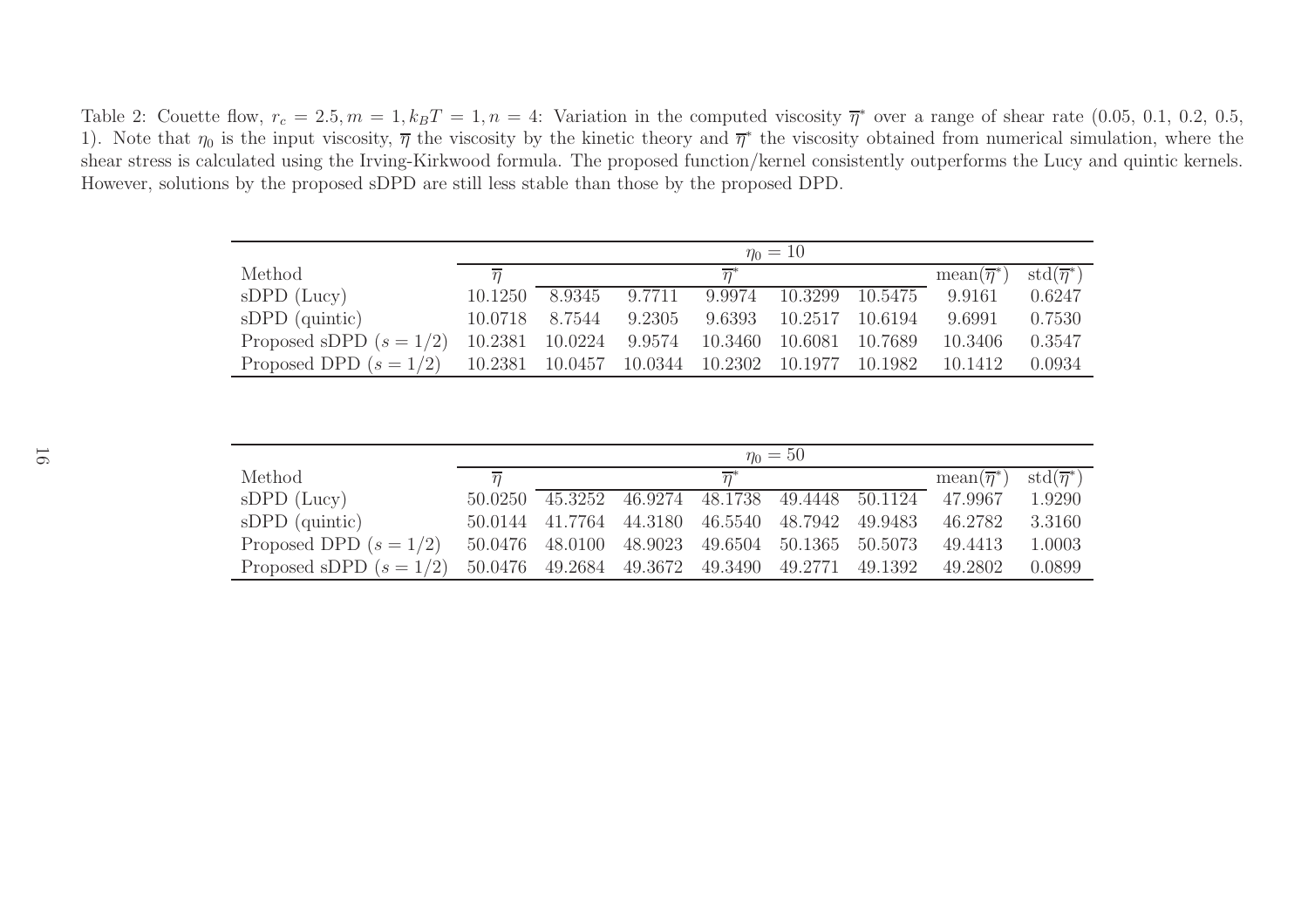Table 2: Couette flow,  $r_c = 2.5$ ,  $m = 1$ ,  $k_B T = 1$ ,  $n = 4$ : Variation in the computed viscosity  $\overline{\eta}^*$  over a range of shear rate (0.05, 0.1, 0.2, 0.5, 0.5, 0.1, 0.2, 0.5, 0.1, 0.2, 0.5, 0.1, 0.2, 0.5, 0.1, 0.2, 0.5, 1). Note that  $\eta_0$  is the input viscosity,  $\overline{\eta}$  the viscosity by the kinetic theory and  $\overline{\eta}^*$  the viscosity obtained from numerical simulation, where the shear stress is calculated using the Irving-Kirkwood formula. The proposed function/kernel consistently outperforms the Lucy and quintic kernels. However, solutions by the proposed sDPD are still less stable than those by the proposed DPD.

|                           | $\eta_0 = 10$  |         |        |                  |         |         |                           |                          |  |  |  |
|---------------------------|----------------|---------|--------|------------------|---------|---------|---------------------------|--------------------------|--|--|--|
| Method                    | $\overline{n}$ |         |        | $\overline{n}^*$ |         |         | $mean(\overline{\eta}^*)$ | $std(\overline{\eta}^*)$ |  |  |  |
| $sDPD$ (Lucy)             | 10.1250        | 8.9345  | 9.7711 | 9.9974           | 10.3299 | 10.5475 | 9.9161                    | 0.6247                   |  |  |  |
| $sDPD$ (quintic)          | 10.0718        | 8.7544  | 9.2305 | 9.6393           | 10.2517 | 10.6194 | 9.6991                    | 0.7530                   |  |  |  |
| Proposed sDPD $(s = 1/2)$ | 10.2381        | 10.0224 | 9.9574 | 10.3460          | 10.6081 | 10.7689 | 10.3406                   | 0.3547                   |  |  |  |
| Proposed DPD $(s = 1/2)$  | 10.2381        | 10.0457 |        | 10.0344 10.2302  | 10.1977 | 10.1982 | 10.1412                   | 0.0934                   |  |  |  |

|                           | $\eta_0 = 50$  |                 |                                                 |                  |                                 |         |                           |                                         |  |  |  |
|---------------------------|----------------|-----------------|-------------------------------------------------|------------------|---------------------------------|---------|---------------------------|-----------------------------------------|--|--|--|
| Method                    | $\overline{n}$ |                 |                                                 | $\overline{n}^*$ |                                 |         | $mean(\overline{\eta}^*)$ | $\operatorname{std}(\overline{\eta}^*)$ |  |  |  |
| $sDPD$ (Lucy)             | 50.0250        | 45.3252         |                                                 |                  | 46.9274 48.1738 49.4448 50.1124 |         | 47.9967                   | 1.9290                                  |  |  |  |
| $sDPD$ (quintic)          |                | 50.0144 41.7764 | 44.3180 46.5540 48.7942                         |                  |                                 | 49.9483 | 46.2782                   | 3.3160                                  |  |  |  |
| Proposed DPD $(s = 1/2)$  |                | 50.0476 48.0100 | 48.9023 49.6504 50.1365 50.5073                 |                  |                                 |         | 49.4413                   | 1.0003                                  |  |  |  |
| Proposed sDPD $(s = 1/2)$ |                |                 | 50.0476 49.2684 49.3672 49.3490 49.2771 49.1392 |                  |                                 |         | 49.2802                   | 0.0899                                  |  |  |  |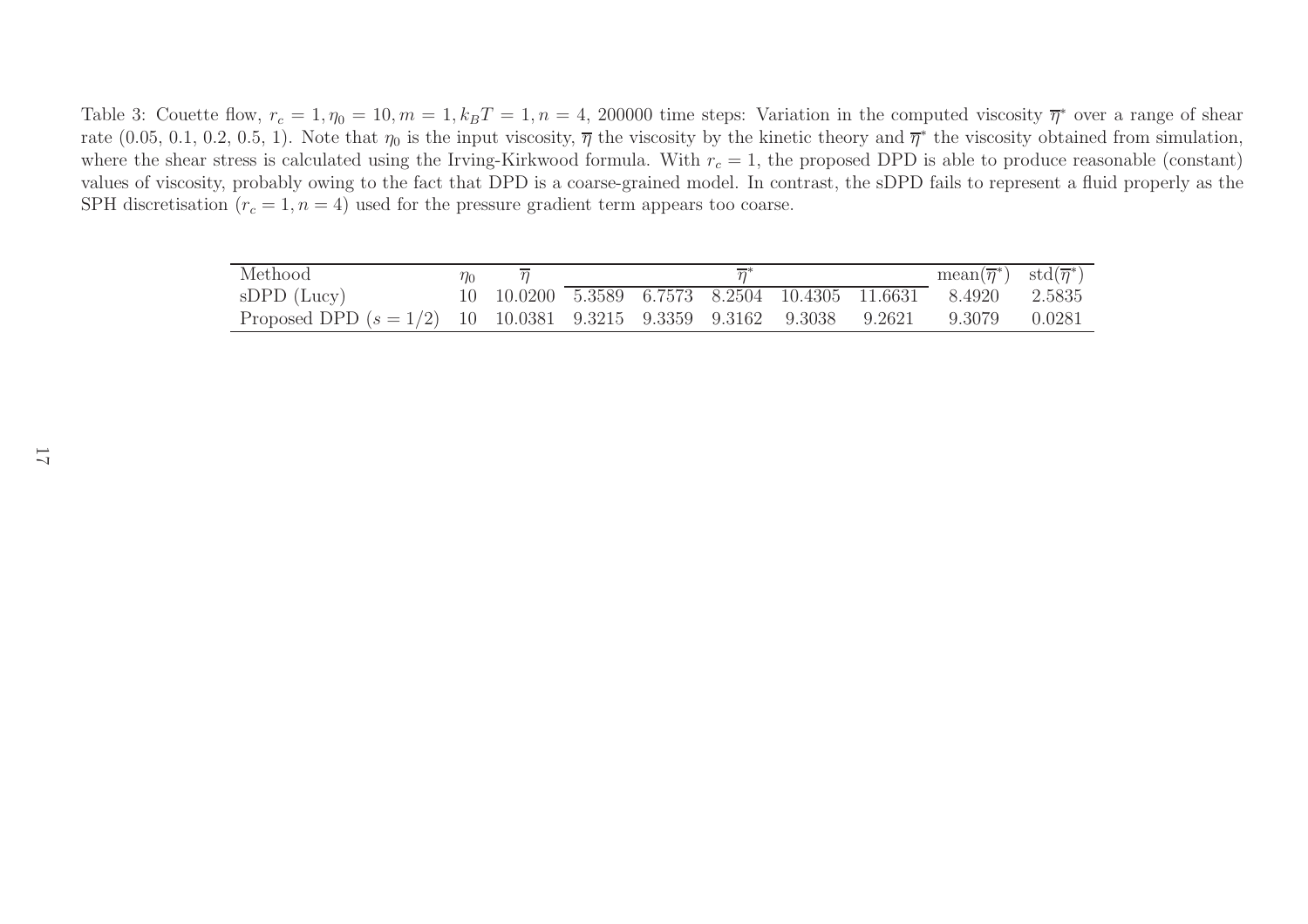Table 3: Couette flow,  $r_c = 1, \eta_0 = 10, m = 1, k_B T = 1, n = 4, 200000$  time steps: Variation in the computed viscosity  $\overline{\eta}^*$  over a range of shear rate (0.05, 0.1, 0.2, 0.5, 1). Note that  $\eta_0$  is the input viscosity,  $\overline{\eta}$  the viscosity by the kinetic theory and  $\overline{\eta}^*$  the viscosity obtained from simulation, where the shear stress is calculated using the Irving-Kirkwood formula. With  $r_c = 1$ , the proposed DPD is able to produce reasonable (constant) values of viscosity, probably owing to the fact that DPD is <sup>a</sup> coarse-grained model. In contrast, the sDPD fails to represent <sup>a</sup> fluid properly as the SPH discretisation  $(r_c = 1, n = 4)$  used for the pressure gradient term appears too coarse.

| Methood                                                                              | $\eta_0$ |  |  |  | $mean(\overline{\eta}^*)$ std $(\overline{\eta}^*)$           |  |
|--------------------------------------------------------------------------------------|----------|--|--|--|---------------------------------------------------------------|--|
| $sDPD$ (Lucy)                                                                        |          |  |  |  | 10 10.0200 5.3589 6.7573 8.2504 10.4305 11.6631 8.4920 2.5835 |  |
| Proposed DPD $(s = 1/2)$ 10 10.0381 9.3215 9.3359 9.3162 9.3038 9.2621 9.3079 0.0281 |          |  |  |  |                                                               |  |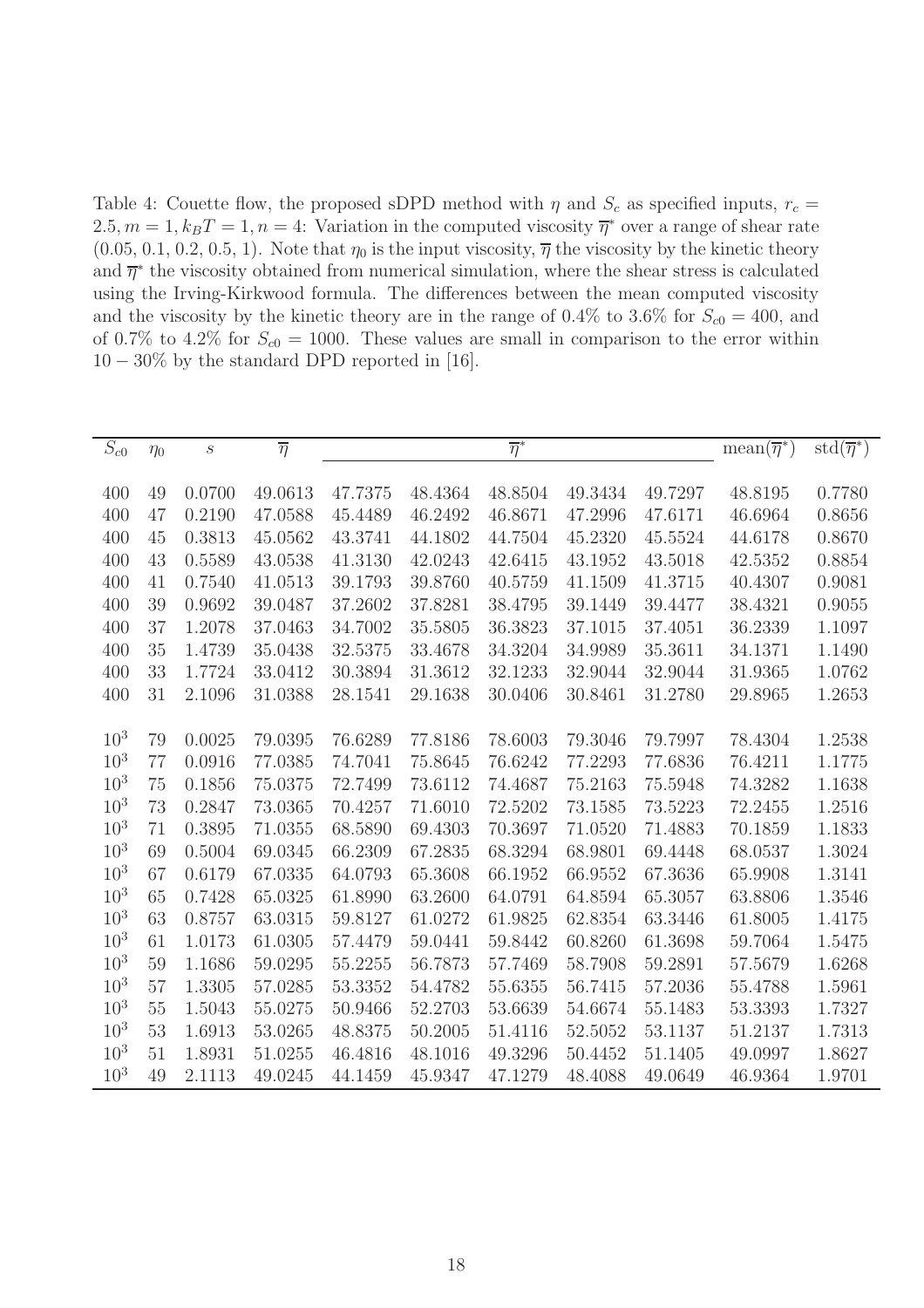Table 4: Couette flow, the proposed sDPD method with  $\eta$  and  $S_c$  as specified inputs,  $r_c$  =  $2.5, m = 1, k_B T = 1, n = 4$ : Variation in the computed viscosity  $\overline{\eta}^*$  over a range of shear rate  $(0.05, 0.1, 0.2, 0.5, 1)$ . Note that  $\eta_0$  is the input viscosity,  $\overline{\eta}$  the viscosity by the kinetic theory and  $\overline{\eta}^*$  the viscosity obtained from numerical simulation, where the shear stress is calculated using the Irving-Kirkwood formula. The differences between the mean computed viscosity and the viscosity by the kinetic theory are in the range of 0.4% to 3.6% for  $S_{c0} = 400$ , and of 0.7% to 4.2% for  $S_{c0} = 1000$ . These values are small in comparison to the error within  $10-30\%$  by the standard DPD reported in [16].

| ${\cal S}_{c0}$ | $\eta_0$ | $\boldsymbol{S}$ | $\overline{\eta}$ |         |         | $\overline{\eta}^*$ |         |             | $mean(\overline{\eta}^*)$ | $\text{std}(\overline{\eta}^*)$ |
|-----------------|----------|------------------|-------------------|---------|---------|---------------------|---------|-------------|---------------------------|---------------------------------|
|                 |          |                  |                   |         |         |                     |         |             |                           |                                 |
| 400             | 49       | 0.0700           | 49.0613           | 47.7375 | 48.4364 | 48.8504             | 49.3434 | 49.7297     | 48.8195                   | 0.7780                          |
| 400             | 47       | 0.2190           | 47.0588           | 45.4489 | 46.2492 | 46.8671             | 47.2996 | 47.6171     | 46.6964                   | 0.8656                          |
| 400             | 45       | 0.3813           | 45.0562           | 43.3741 | 44.1802 | 44.7504             | 45.2320 | $45.5524\,$ | 44.6178                   | 0.8670                          |
| 400             | 43       | 0.5589           | 43.0538           | 41.3130 | 42.0243 | 42.6415             | 43.1952 | 43.5018     | 42.5352                   | 0.8854                          |
| 400             | 41       | 0.7540           | 41.0513           | 39.1793 | 39.8760 | 40.5759             | 41.1509 | 41.3715     | 40.4307                   | 0.9081                          |
| 400             | 39       | 0.9692           | 39.0487           | 37.2602 | 37.8281 | 38.4795             | 39.1449 | 39.4477     | 38.4321                   | 0.9055                          |
| 400             | 37       | 1.2078           | 37.0463           | 34.7002 | 35.5805 | 36.3823             | 37.1015 | 37.4051     | 36.2339                   | 1.1097                          |
| 400             | 35       | 1.4739           | 35.0438           | 32.5375 | 33.4678 | 34.3204             | 34.9989 | 35.3611     | 34.1371                   | 1.1490                          |
| 400             | 33       | 1.7724           | 33.0412           | 30.3894 | 31.3612 | 32.1233             | 32.9044 | 32.9044     | 31.9365                   | 1.0762                          |
| 400             | 31       | 2.1096           | 31.0388           | 28.1541 | 29.1638 | 30.0406             | 30.8461 | 31.2780     | 29.8965                   | 1.2653                          |
|                 |          |                  |                   |         |         |                     |         |             |                           |                                 |
| $10^{3}$        | 79       | 0.0025           | 79.0395           | 76.6289 | 77.8186 | 78.6003             | 79.3046 | 79.7997     | 78.4304                   | 1.2538                          |
| $10^{3}$        | 77       | 0.0916           | 77.0385           | 74.7041 | 75.8645 | 76.6242             | 77.2293 | 77.6836     | 76.4211                   | 1.1775                          |
| $10^{3}$        | 75       | 0.1856           | 75.0375           | 72.7499 | 73.6112 | 74.4687             | 75.2163 | 75.5948     | 74.3282                   | 1.1638                          |
| $10^{3}$        | 73       | 0.2847           | 73.0365           | 70.4257 | 71.6010 | 72.5202             | 73.1585 | 73.5223     | 72.2455                   | 1.2516                          |
| $10^{3}$        | 71       | 0.3895           | 71.0355           | 68.5890 | 69.4303 | 70.3697             | 71.0520 | 71.4883     | 70.1859                   | 1.1833                          |
| $10^{3}$        | 69       | 0.5004           | 69.0345           | 66.2309 | 67.2835 | 68.3294             | 68.9801 | 69.4448     | 68.0537                   | 1.3024                          |
| $10^{3}$        | 67       | 0.6179           | 67.0335           | 64.0793 | 65.3608 | 66.1952             | 66.9552 | 67.3636     | 65.9908                   | 1.3141                          |
| $10^{3}$        | 65       | 0.7428           | 65.0325           | 61.8990 | 63.2600 | 64.0791             | 64.8594 | 65.3057     | 63.8806                   | 1.3546                          |
| $10^{3}$        | 63       | 0.8757           | 63.0315           | 59.8127 | 61.0272 | 61.9825             | 62.8354 | 63.3446     | 61.8005                   | 1.4175                          |
| $10^{3}$        | 61       | 1.0173           | 61.0305           | 57.4479 | 59.0441 | 59.8442             | 60.8260 | 61.3698     | 59.7064                   | 1.5475                          |
| $10^{3}$        | 59       | 1.1686           | 59.0295           | 55.2255 | 56.7873 | 57.7469             | 58.7908 | 59.2891     | 57.5679                   | 1.6268                          |
| $10^{3}$        | 57       | 1.3305           | 57.0285           | 53.3352 | 54.4782 | 55.6355             | 56.7415 | 57.2036     | 55.4788                   | 1.5961                          |
| $10^{3}$        | 55       | 1.5043           | 55.0275           | 50.9466 | 52.2703 | 53.6639             | 54.6674 | 55.1483     | 53.3393                   | 1.7327                          |
| $10^{3}$        | 53       | 1.6913           | 53.0265           | 48.8375 | 50.2005 | 51.4116             | 52.5052 | 53.1137     | 51.2137                   | 1.7313                          |
| 10 <sup>3</sup> | 51       | 1.8931           | 51.0255           | 46.4816 | 48.1016 | 49.3296             | 50.4452 | 51.1405     | 49.0997                   | 1.8627                          |
| $10^{3}$        | 49       | 2.1113           | 49.0245           | 44.1459 | 45.9347 | 47.1279             | 48.4088 | 49.0649     | 46.9364                   | 1.9701                          |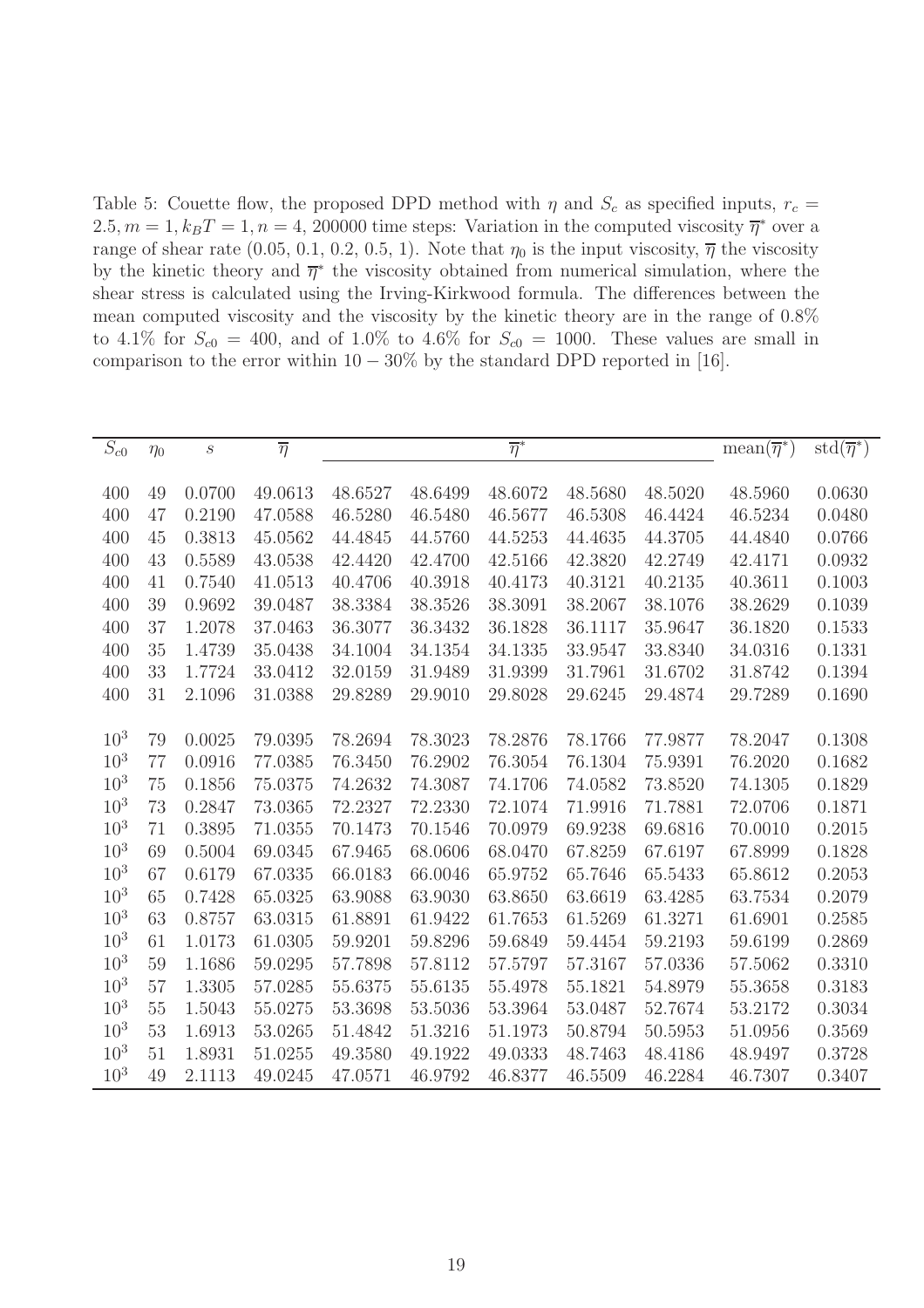Table 5: Couette flow, the proposed DPD method with  $\eta$  and  $S_c$  as specified inputs,  $r_c$  =  $2.5, m = 1, k_B T = 1, n = 4, 200000$  time steps: Variation in the computed viscosity  $\overline{\eta}^*$  over a range of shear rate (0.05, 0.1, 0.2, 0.5, 1). Note that  $\eta_0$  is the input viscosity,  $\overline{\eta}$  the viscosity by the kinetic theory and  $\bar{\eta}^*$  the viscosity obtained from numerical simulation, where the shear stress is calculated using the Irving-Kirkwood formula. The differences between the mean computed viscosity and the viscosity by the kinetic theory are in the range of 0.8% to 4.1% for  $S_{c0} = 400$ , and of 1.0% to 4.6% for  $S_{c0} = 1000$ . These values are small in comparison to the error within  $10 - 30\%$  by the standard DPD reported in [16].

| ${\cal S}_{c0}$ | $\eta_0$ | $\boldsymbol{S}$ | $\overline{\eta}$ |         |         | $\overline{\eta}^*$ |         |         | $mean(\overline{\eta}^*)$ | $\text{std}(\overline{\eta}^*)$ |
|-----------------|----------|------------------|-------------------|---------|---------|---------------------|---------|---------|---------------------------|---------------------------------|
|                 |          |                  |                   |         |         |                     |         |         |                           |                                 |
| 400             | 49       | 0.0700           | 49.0613           | 48.6527 | 48.6499 | 48.6072             | 48.5680 | 48.5020 | 48.5960                   | 0.0630                          |
| 400             | 47       | 0.2190           | 47.0588           | 46.5280 | 46.5480 | 46.5677             | 46.5308 | 46.4424 | 46.5234                   | 0.0480                          |
| 400             | 45       | 0.3813           | 45.0562           | 44.4845 | 44.5760 | 44.5253             | 44.4635 | 44.3705 | 44.4840                   | 0.0766                          |
| 400             | 43       | 0.5589           | 43.0538           | 42.4420 | 42.4700 | 42.5166             | 42.3820 | 42.2749 | 42.4171                   | 0.0932                          |
| 400             | 41       | 0.7540           | 41.0513           | 40.4706 | 40.3918 | 40.4173             | 40.3121 | 40.2135 | 40.3611                   | 0.1003                          |
| 400             | 39       | 0.9692           | 39.0487           | 38.3384 | 38.3526 | 38.3091             | 38.2067 | 38.1076 | 38.2629                   | 0.1039                          |
| 400             | 37       | 1.2078           | 37.0463           | 36.3077 | 36.3432 | 36.1828             | 36.1117 | 35.9647 | 36.1820                   | 0.1533                          |
| 400             | 35       | 1.4739           | 35.0438           | 34.1004 | 34.1354 | 34.1335             | 33.9547 | 33.8340 | 34.0316                   | 0.1331                          |
| 400             | 33       | 1.7724           | 33.0412           | 32.0159 | 31.9489 | 31.9399             | 31.7961 | 31.6702 | 31.8742                   | 0.1394                          |
| 400             | 31       | 2.1096           | 31.0388           | 29.8289 | 29.9010 | 29.8028             | 29.6245 | 29.4874 | 29.7289                   | 0.1690                          |
|                 |          |                  |                   |         |         |                     |         |         |                           |                                 |
| $10^{3}$        | 79       | 0.0025           | 79.0395           | 78.2694 | 78.3023 | 78.2876             | 78.1766 | 77.9877 | 78.2047                   | 0.1308                          |
| $10^{3}$        | 77       | 0.0916           | 77.0385           | 76.3450 | 76.2902 | 76.3054             | 76.1304 | 75.9391 | 76.2020                   | 0.1682                          |
| $10^{3}$        | 75       | 0.1856           | 75.0375           | 74.2632 | 74.3087 | 74.1706             | 74.0582 | 73.8520 | 74.1305                   | 0.1829                          |
| $10^{3}$        | 73       | 0.2847           | 73.0365           | 72.2327 | 72.2330 | 72.1074             | 71.9916 | 71.7881 | 72.0706                   | 0.1871                          |
| $10^{3}$        | 71       | 0.3895           | 71.0355           | 70.1473 | 70.1546 | 70.0979             | 69.9238 | 69.6816 | 70.0010                   | 0.2015                          |
| $10^{3}$        | 69       | 0.5004           | 69.0345           | 67.9465 | 68.0606 | 68.0470             | 67.8259 | 67.6197 | 67.8999                   | 0.1828                          |
| $10^{3}$        | 67       | 0.6179           | 67.0335           | 66.0183 | 66.0046 | 65.9752             | 65.7646 | 65.5433 | 65.8612                   | 0.2053                          |
| $10^{3}$        | 65       | 0.7428           | 65.0325           | 63.9088 | 63.9030 | 63.8650             | 63.6619 | 63.4285 | 63.7534                   | 0.2079                          |
| $10^{3}$        | 63       | 0.8757           | 63.0315           | 61.8891 | 61.9422 | 61.7653             | 61.5269 | 61.3271 | 61.6901                   | 0.2585                          |
| $10^{3}$        | 61       | 1.0173           | 61.0305           | 59.9201 | 59.8296 | 59.6849             | 59.4454 | 59.2193 | 59.6199                   | 0.2869                          |
| $10^{3}$        | 59       | 1.1686           | 59.0295           | 57.7898 | 57.8112 | 57.5797             | 57.3167 | 57.0336 | 57.5062                   | 0.3310                          |
| $10^{3}$        | 57       | 1.3305           | 57.0285           | 55.6375 | 55.6135 | 55.4978             | 55.1821 | 54.8979 | 55.3658                   | 0.3183                          |
| $10^{3}$        | 55       | 1.5043           | 55.0275           | 53.3698 | 53.5036 | 53.3964             | 53.0487 | 52.7674 | 53.2172                   | 0.3034                          |
| $10^{3}$        | 53       | 1.6913           | 53.0265           | 51.4842 | 51.3216 | 51.1973             | 50.8794 | 50.5953 | 51.0956                   | 0.3569                          |
| 10 <sup>3</sup> | 51       | 1.8931           | 51.0255           | 49.3580 | 49.1922 | 49.0333             | 48.7463 | 48.4186 | 48.9497                   | 0.3728                          |
| $10^{3}$        | 49       | 2.1113           | 49.0245           | 47.0571 | 46.9792 | 46.8377             | 46.5509 | 46.2284 | 46.7307                   | 0.3407                          |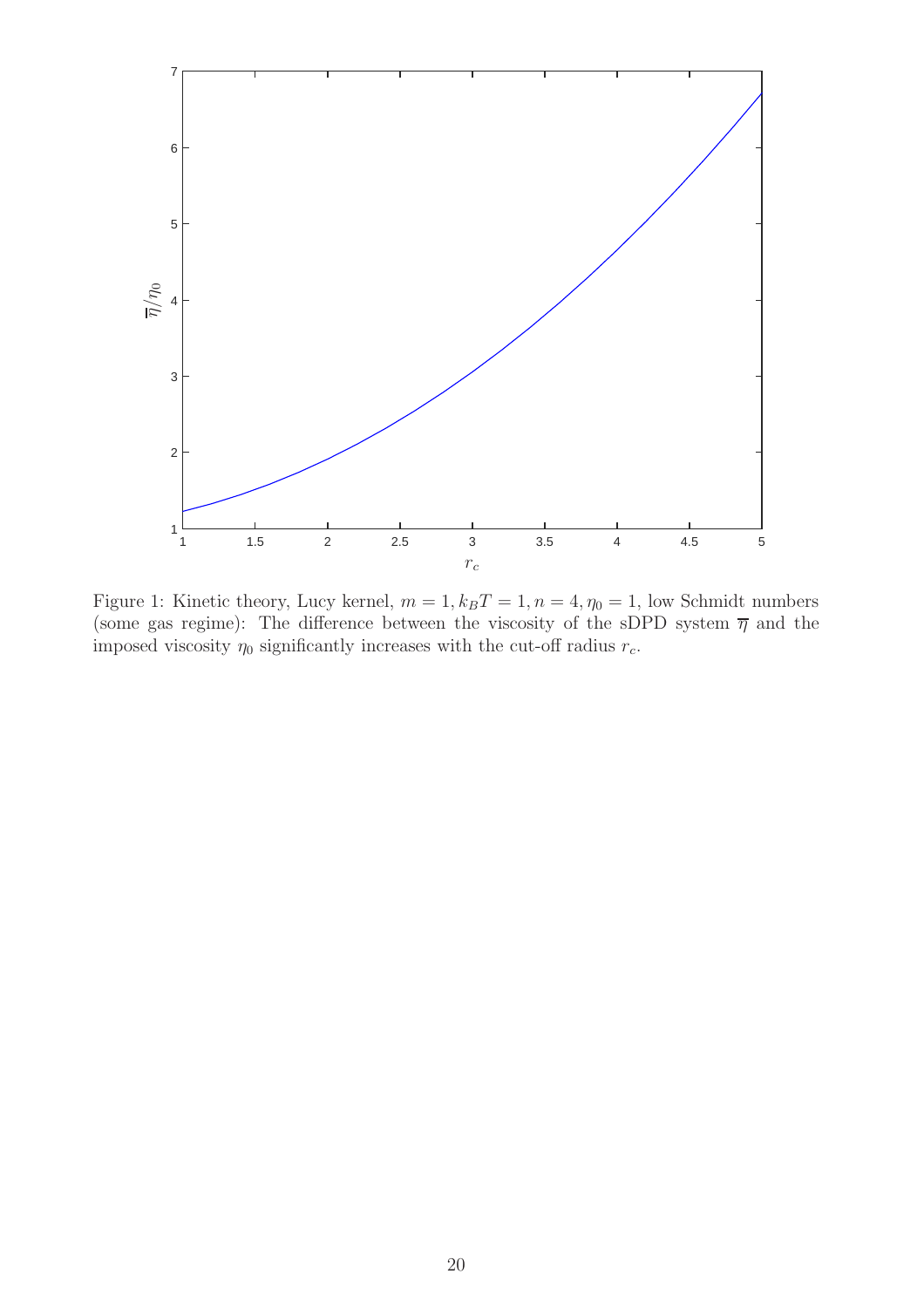

Figure 1: Kinetic theory, Lucy kernel,  $m = 1, k_B T = 1, n = 4, \eta_0 = 1$ , low Schmidt numbers (some gas regime): The difference between the viscosity of the sDPD system  $\bar{\eta}$  and the imposed viscosity  $\eta_0$  significantly increases with the cut-off radius  $r_c$ .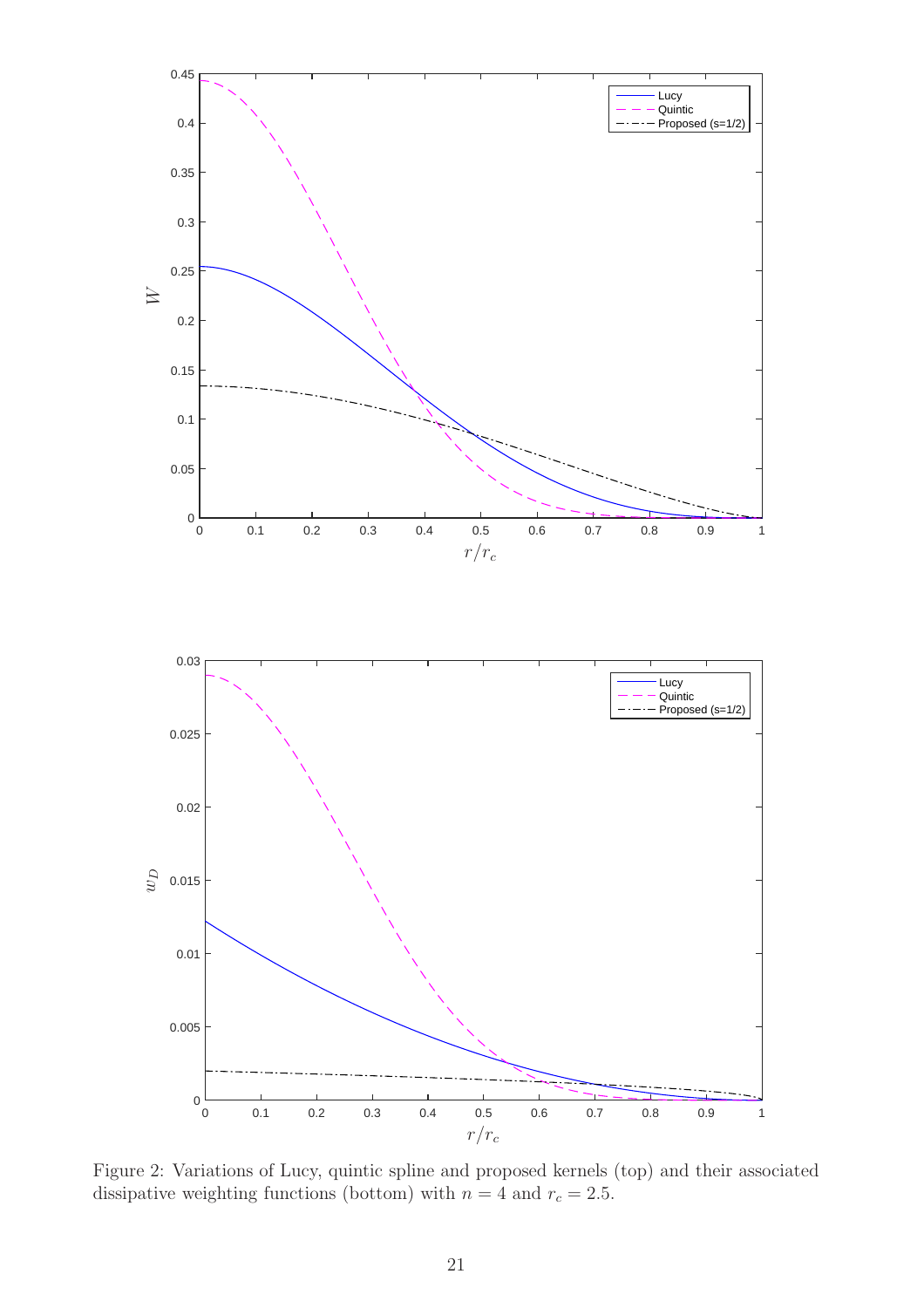

Figure 2: Variations of Lucy, quintic spline and proposed kernels (top) and their associated dissipative weighting functions (bottom) with  $n = 4$  and  $r_c = 2.5$ .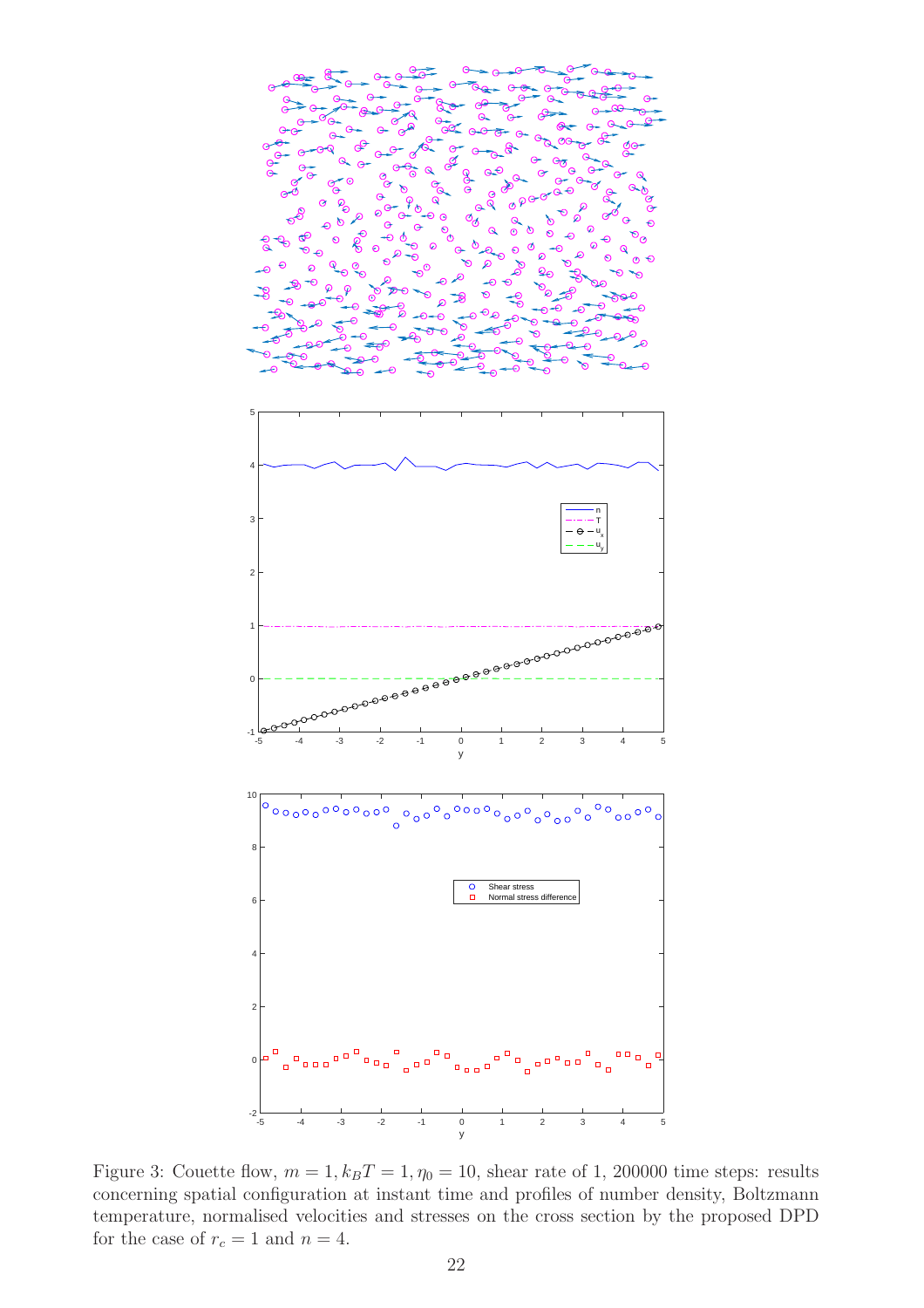

Figure 3: Couette flow,  $m = 1$ ,  $k_B T = 1$ ,  $\eta_0 = 10$ , shear rate of 1, 200000 time steps: results concerning spatial configuration at instant time and profiles of number density, Boltzmann temperature, normalised velocities and stresses on the cross section by the proposed DPD for the case of  $r_c = 1$  and  $n = 4$ .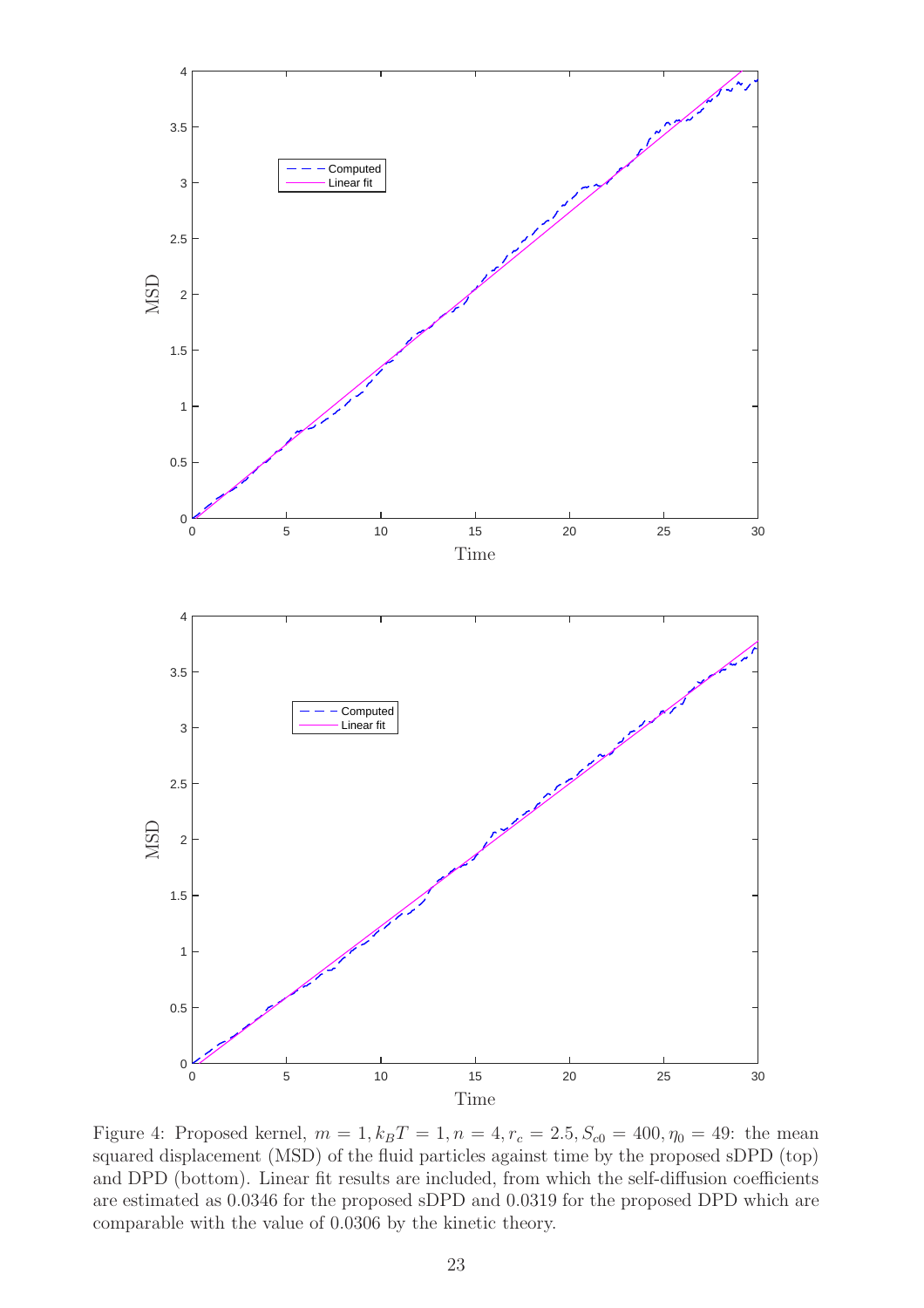

Figure 4: Proposed kernel,  $m = 1, k_B T = 1, n = 4, r_c = 2.5, S_{c0} = 400, \eta_0 = 49$ : the mean squared displacement (MSD) of the fluid particles against time by the proposed sDPD (top) and DPD (bottom). Linear fit results are included, from which the self-diffusion coefficients are estimated as 0.0346 for the proposed sDPD and 0.0319 for the proposed DPD which are comparable with the value of 0.0306 by the kinetic theory.